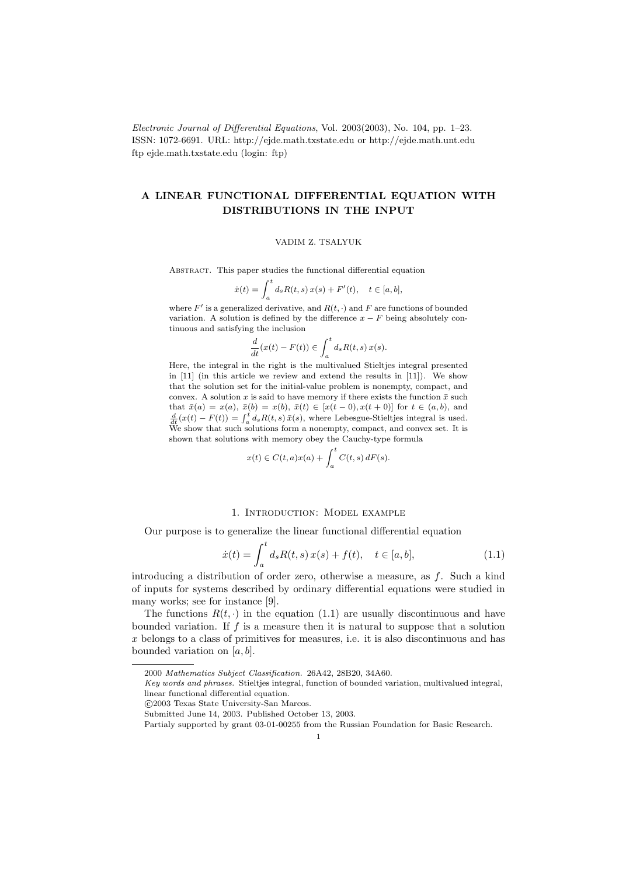Electronic Journal of Differential Equations, Vol. 2003(2003), No. 104, pp. 1–23. ISSN: 1072-6691. URL: http://ejde.math.txstate.edu or http://ejde.math.unt.edu ftp ejde.math.txstate.edu (login: ftp)

# A LINEAR FUNCTIONAL DIFFERENTIAL EQUATION WITH DISTRIBUTIONS IN THE INPUT

#### VADIM Z. TSALYUK

Abstract. This paper studies the functional differential equation

$$
\dot{x}(t) = \int_{a}^{t} d_{s} R(t, s) x(s) + F'(t), \quad t \in [a, b],
$$

where  $F'$  is a generalized derivative, and  $R(t, \cdot)$  and  $F$  are functions of bounded variation. A solution is defined by the difference  $x - F$  being absolutely continuous and satisfying the inclusion

$$
\frac{d}{dt}(x(t) - F(t)) \in \int_a^t d_s R(t, s) x(s).
$$

Here, the integral in the right is the multivalued Stieltjes integral presented in [11] (in this article we review and extend the results in [11]). We show that the solution set for the initial-value problem is nonempty, compact, and convex. A solution x is said to have memory if there exists the function  $\bar{x}$  such that  $\bar{x}(a) = x(a), \bar{x}(b) = x(b), \bar{x}(t) \in [x(t-0), x(t+0)]$  for  $t \in (a, b)$ , and  $\frac{d}{dt}(x(t) - F(t)) = \int_a^t d_s R(t, s) \bar{x}(s)$ , where Lebesgue-Stieltjes integral is used. We show that such solutions form a nonempty, compact, and convex set. It is shown that solutions with memory obey the Cauchy-type formula

$$
x(t) \in C(t, a)x(a) + \int_a^t C(t, s) dF(s).
$$

# 1. Introduction: Model example

Our purpose is to generalize the linear functional differential equation

$$
\dot{x}(t) = \int_{a}^{t} d_{s} R(t, s) x(s) + f(t), \quad t \in [a, b], \tag{1.1}
$$

introducing a distribution of order zero, otherwise a measure, as f. Such a kind of inputs for systems described by ordinary differential equations were studied in many works; see for instance [9].

The functions  $R(t, \cdot)$  in the equation (1.1) are usually discontinuous and have bounded variation. If  $f$  is a measure then it is natural to suppose that a solution x belongs to a class of primitives for measures, i.e. it is also discontinuous and has bounded variation on  $[a, b]$ .

<sup>2000</sup> Mathematics Subject Classification. 26A42, 28B20, 34A60.

Key words and phrases. Stieltjes integral, function of bounded variation, multivalued integral, linear functional differential equation.

c 2003 Texas State University-San Marcos.

Submitted June 14, 2003. Published October 13, 2003.

Partialy supported by grant 03-01-00255 from the Russian Foundation for Basic Research.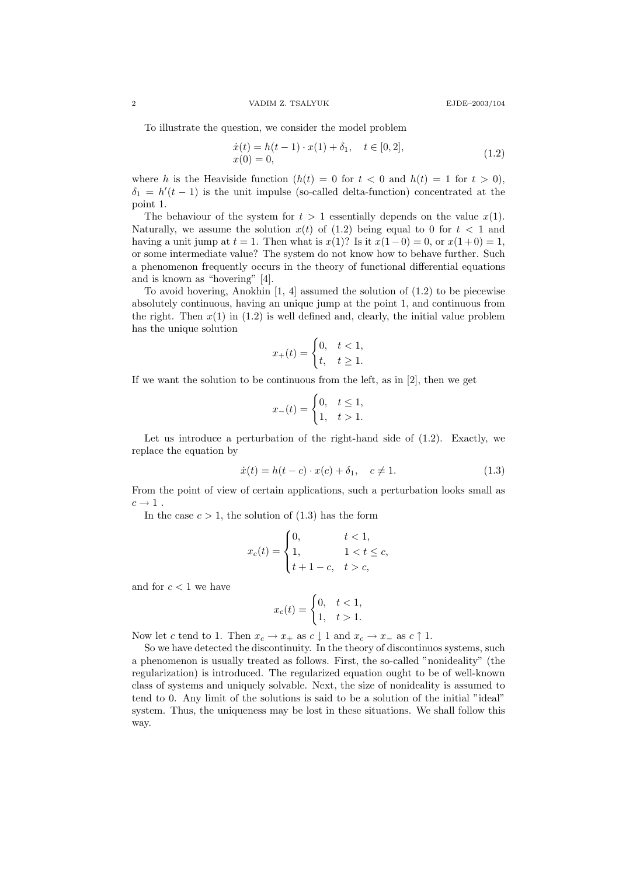To illustrate the question, we consider the model problem

$$
\begin{aligned} \dot{x}(t) &= h(t-1) \cdot x(1) + \delta_1, \quad t \in [0,2], \\ x(0) &= 0, \end{aligned} \tag{1.2}
$$

where h is the Heaviside function  $(h(t) = 0$  for  $t < 0$  and  $h(t) = 1$  for  $t > 0$ ,  $\delta_1 = h'(t-1)$  is the unit impulse (so-called delta-function) concentrated at the point 1.

The behaviour of the system for  $t > 1$  essentially depends on the value  $x(1)$ . Naturally, we assume the solution  $x(t)$  of (1.2) being equal to 0 for  $t < 1$  and having a unit jump at  $t = 1$ . Then what is  $x(1)$ ? Is it  $x(1-0) = 0$ , or  $x(1+0) = 1$ , or some intermediate value? The system do not know how to behave further. Such a phenomenon frequently occurs in the theory of functional differential equations and is known as "hovering" [4].

To avoid hovering, Anokhin  $[1, 4]$  assumed the solution of  $(1.2)$  to be piecewise absolutely continuous, having an unique jump at the point 1, and continuous from the right. Then  $x(1)$  in  $(1.2)$  is well defined and, clearly, the initial value problem has the unique solution

$$
x_+(t) = \begin{cases} 0, & t < 1, \\ t, & t \ge 1. \end{cases}
$$

If we want the solution to be continuous from the left, as in [2], then we get

$$
x_{-}(t) = \begin{cases} 0, & t \le 1, \\ 1, & t > 1. \end{cases}
$$

Let us introduce a perturbation of the right-hand side of  $(1.2)$ . Exactly, we replace the equation by

$$
\dot{x}(t) = h(t - c) \cdot x(c) + \delta_1, \quad c \neq 1. \tag{1.3}
$$

From the point of view of certain applications, such a perturbation looks small as  $c \rightarrow 1$ .

In the case  $c > 1$ , the solution of  $(1.3)$  has the form

$$
x_c(t) = \begin{cases} 0, & t < 1, \\ 1, & 1 < t \le c, \\ t + 1 - c, & t > c, \end{cases}
$$

and for  $c < 1$  we have

$$
x_c(t) = \begin{cases} 0, & t < 1, \\ 1, & t > 1. \end{cases}
$$

Now let c tend to 1. Then  $x_c \to x_+$  as  $c \downarrow 1$  and  $x_c \to x_-$  as  $c \uparrow 1$ .

So we have detected the discontinuity. In the theory of discontinuos systems, such a phenomenon is usually treated as follows. First, the so-called "nonideality" (the regularization) is introduced. The regularized equation ought to be of well-known class of systems and uniquely solvable. Next, the size of nonideality is assumed to tend to 0. Any limit of the solutions is said to be a solution of the initial "ideal" system. Thus, the uniqueness may be lost in these situations. We shall follow this way.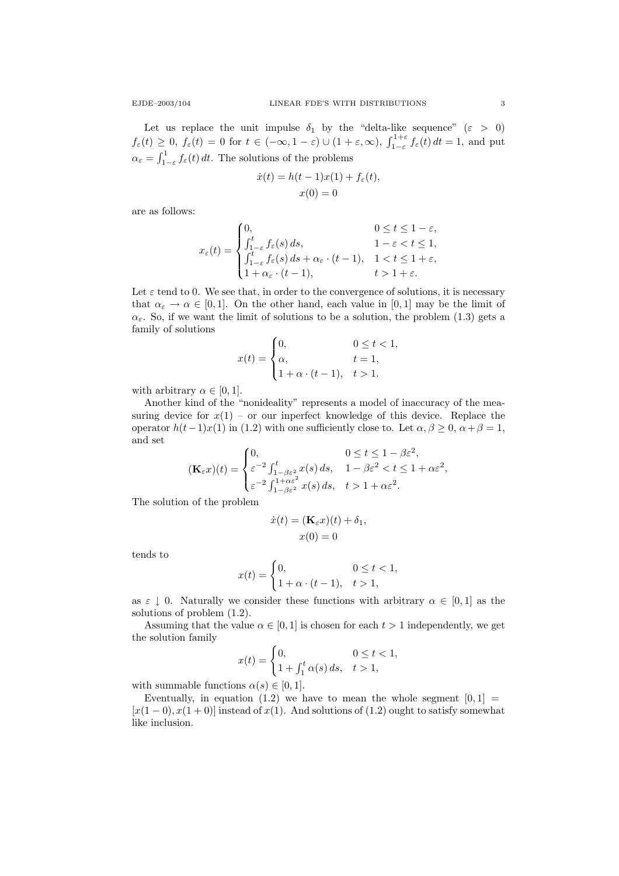Let us replace the unit impulse  $\delta_1$  by the "delta-like sequence" ( $\varepsilon > 0$ )

 $f_{\varepsilon}(t) \geq 0$ ,  $f_{\varepsilon}(t) = 0$  for  $t \in (-\infty, 1-\varepsilon) \cup (1+\varepsilon, \infty)$ ,  $\int_{1-\varepsilon}^{1+\varepsilon} f_{\varepsilon}(t) dt = 1$ , and put  $\alpha_{\varepsilon} = \int_{1-\varepsilon}^{1} f_{\varepsilon}(t) dt$ . The solutions of the problems

$$
\dot{x}(t) = h(t-1)x(1) + f_{\varepsilon}(t),
$$
  

$$
x(0) = 0
$$

are as follows:

$$
x_{\varepsilon}(t) = \begin{cases} 0, & 0 \leq t \leq 1 - \varepsilon, \\ \int_{1-\varepsilon}^{t} f_{\varepsilon}(s) ds, & 1 - \varepsilon < t \leq 1, \\ \int_{1-\varepsilon}^{t} f_{\varepsilon}(s) ds + \alpha_{\varepsilon} \cdot (t-1), & 1 < t \leq 1 + \varepsilon, \\ 1 + \alpha_{\varepsilon} \cdot (t-1), & t > 1 + \varepsilon. \end{cases}
$$

Let  $\varepsilon$  tend to 0. We see that, in order to the convergence of solutions, it is necessary that  $\alpha_{\varepsilon} \to \alpha \in [0,1]$ . On the other hand, each value in [0,1] may be the limit of  $\alpha_{\varepsilon}$ . So, if we want the limit of solutions to be a solution, the problem (1.3) gets a family of solutions

$$
x(t) = \begin{cases} 0, & 0 \le t < 1, \\ \alpha, & t = 1, \\ 1 + \alpha \cdot (t - 1), & t > 1. \end{cases}
$$

with arbitrary  $\alpha \in [0, 1]$ .

Another kind of the "nonideality" represents a model of inaccuracy of the measuring device for  $x(1)$  – or our inperfect knowledge of this device. Replace the operator  $h(t-1)x(1)$  in (1.2) with one sufficiently close to. Let  $\alpha, \beta \geq 0, \alpha + \beta = 1$ , and set

$$
(\mathbf{K}_{\varepsilon}x)(t) = \begin{cases} 0, & 0 \le t \le 1 - \beta \varepsilon^2, \\ \varepsilon^{-2} \int_{1-\beta \varepsilon^2}^t x(s) \, ds, & 1 - \beta \varepsilon^2 < t \le 1 + \alpha \varepsilon^2, \\ \varepsilon^{-2} \int_{1-\beta \varepsilon^2}^{1+\alpha \varepsilon^2} x(s) \, ds, & t > 1 + \alpha \varepsilon^2. \end{cases}
$$

The solution of the problem

$$
\dot{x}(t) = (\mathbf{K}_{\varepsilon}x)(t) + \delta_1,
$$
  

$$
x(0) = 0
$$

tends to

$$
x(t) = \begin{cases} 0, & 0 \le t < 1, \\ 1 + \alpha \cdot (t - 1), & t > 1, \end{cases}
$$

as  $\varepsilon \downarrow 0$ . Naturally we consider these functions with arbitrary  $\alpha \in [0,1]$  as the solutions of problem (1.2).

Assuming that the value  $\alpha \in [0, 1]$  is chosen for each  $t > 1$  independently, we get the solution family

$$
x(t) = \begin{cases} 0, & 0 \le t < 1, \\ 1 + \int_1^t \alpha(s) \, ds, & t > 1, \end{cases}
$$

with summable functions  $\alpha(s) \in [0,1]$ .

Eventually, in equation (1.2) we have to mean the whole segment  $[0, 1] =$  $[x(1-0), x(1+0)]$  instead of  $x(1)$ . And solutions of  $(1.2)$  ought to satisfy somewhat like inclusion.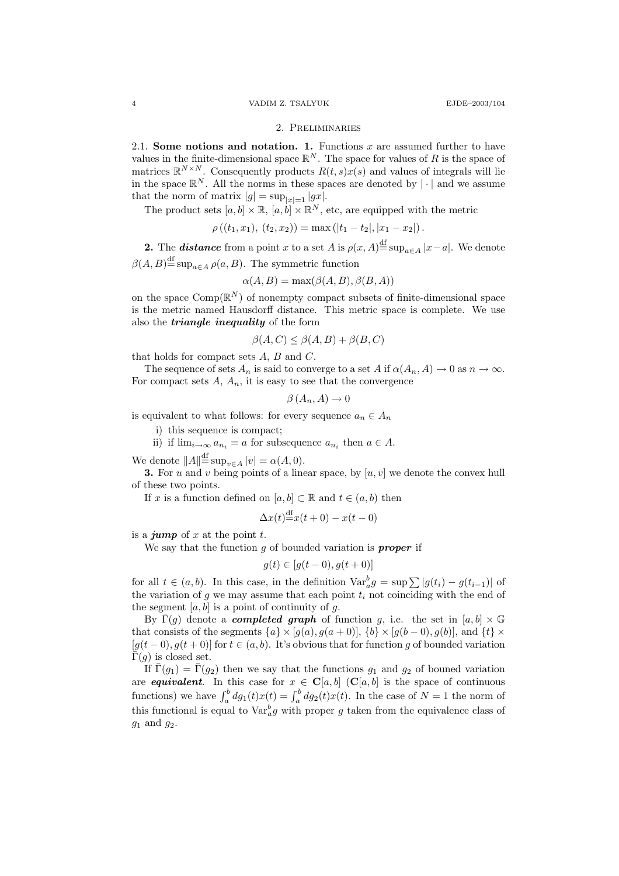#### 2. Preliminaries

2.1. Some notions and notation. 1. Functions  $x$  are assumed further to have values in the finite-dimensional space  $\mathbb{R}^N$ . The space for values of R is the space of matrices  $\mathbb{R}^{N\times N}$ . Consequently products  $R(t,s)x(s)$  and values of integrals will lie in the space  $\mathbb{R}^N$ . All the norms in these spaces are denoted by  $|\cdot|$  and we assume that the norm of matrix  $|g| = \sup_{|x|=1} |gx|$ .

The product sets  $[a, b] \times \mathbb{R}, [a, b] \times \mathbb{R}^N$ , etc, are equipped with the metric

$$
\rho((t_1,x_1), (t_2,x_2)) = \max(|t_1-t_2|, |x_1-x_2|).
$$

**2.** The **distance** from a point x to a set A is  $\rho(x, A) \stackrel{\text{df}}{=} \sup_{a \in A} |x - a|$ . We denote  $\beta(A, B) \stackrel{\text{df}}{=} \sup_{a \in A} \rho(a, B)$ . The symmetric function

$$
\alpha(A, B) = \max(\beta(A, B), \beta(B, A))
$$

on the space  $\mathrm{Comp}(\mathbb{R}^N)$  of nonempty compact subsets of finite-dimensional space is the metric named Hausdorff distance. This metric space is complete. We use also the *triangle inequality* of the form

$$
\beta(A, C) \le \beta(A, B) + \beta(B, C)
$$

that holds for compact sets  $A, B$  and  $C$ .

The sequence of sets  $A_n$  is said to converge to a set A if  $\alpha(A_n, A) \to 0$  as  $n \to \infty$ . For compact sets  $A$ ,  $A_n$ , it is easy to see that the convergence

$$
\beta(A_n, A) \to 0
$$

is equivalent to what follows: for every sequence  $a_n \in A_n$ 

i) this sequence is compact;

ii) if  $\lim_{i\to\infty} a_{n_i} = a$  for subsequence  $a_{n_i}$  then  $a \in A$ .

We denote  $||A||^{\text{df}}_{\text{sup}} = \sup_{v \in A} |v| = \alpha(A, 0).$ 

**3.** For u and v being points of a linear space, by  $[u, v]$  we denote the convex hull of these two points.

If x is a function defined on  $[a, b] \subset \mathbb{R}$  and  $t \in (a, b)$  then

$$
\Delta x(t) \stackrel{\text{df}}{=} x(t+0) - x(t-0)
$$

is a *jump* of  $x$  at the point  $t$ .

We say that the function  $q$  of bounded variation is **proper** if

$$
g(t) \in [g(t-0), g(t+0)]
$$

for all  $t \in (a, b)$ . In this case, in the definition  $\text{Var}_a^b g = \sup \sum |g(t_i) - g(t_{i-1})|$  of the variation of g we may assume that each point  $t_i$  not coinciding with the end of the segment  $[a, b]$  is a point of continuity of q.

By  $\bar{\Gamma}(g)$  denote a *completed graph* of function g, i.e. the set in  $[a, b] \times \mathbb{G}$ that consists of the segments  $\{a\} \times [g(a), g(a+0)], \{b\} \times [g(b-0), g(b)],$  and  $\{t\} \times$  $[g(t-0), g(t+0)]$  for  $t \in (a, b)$ . It's obvious that for function g of bounded variation  $\bar{\Gamma}(q)$  is closed set.

If  $\bar{\Gamma}(g_1) = \bar{\Gamma}(g_2)$  then we say that the functions  $g_1$  and  $g_2$  of bouned variation are **equivalent**. In this case for  $x \in C[a, b]$  (C[a, b] is the space of continuous functions) we have  $\int_a^b dg_1(t)x(t) = \int_a^b dg_2(t)x(t)$ . In the case of  $N = 1$  the norm of this functional is equal to  $\text{Var}_{a}^{b}g$  with proper g taken from the equivalence class of  $g_1$  and  $g_2$ .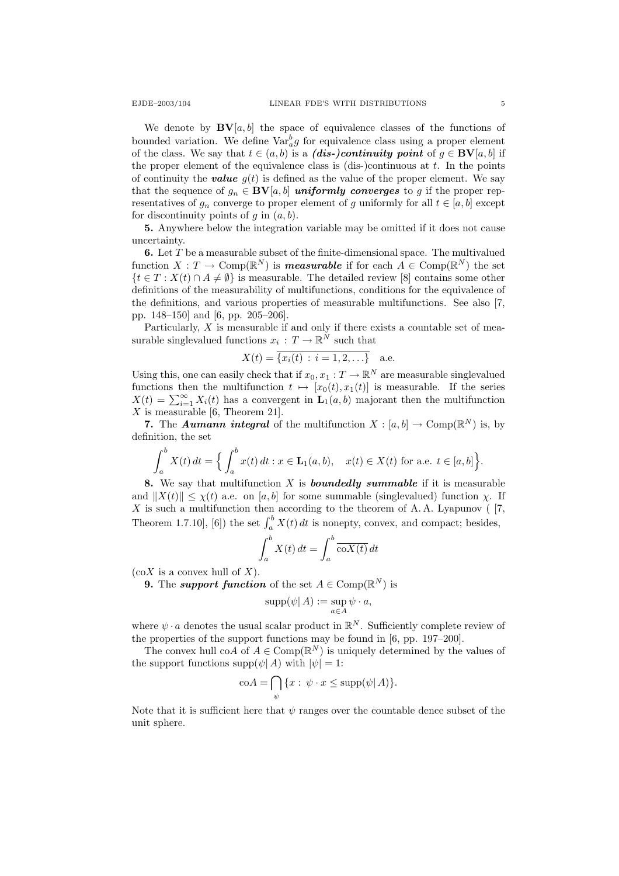We denote by  $\mathbf{BV}[a, b]$  the space of equivalence classes of the functions of bounded variation. We define  $\text{Var}_a^b g$  for equivalence class using a proper element of the class. We say that  $t \in (a, b)$  is a (dis-)continuity point of  $g \in BV[a, b]$  if the proper element of the equivalence class is  $(dis-)$ continuous at t. In the points of continuity the **value**  $q(t)$  is defined as the value of the proper element. We say that the sequence of  $g_n \in BV[a, b]$  uniformly converges to g if the proper representatives of  $g_n$  converge to proper element of g uniformly for all  $t \in [a, b]$  except for discontinuity points of q in  $(a, b)$ .

5. Anywhere below the integration variable may be omitted if it does not cause uncertainty.

**6.** Let  $T$  be a measurable subset of the finite-dimensional space. The multivalued function  $X: T \to \text{Comp}(\mathbb{R}^N)$  is **measurable** if for each  $A \in \text{Comp}(\mathbb{R}^N)$  the set  ${t \in T : X(t) \cap A \neq \emptyset}$  is measurable. The detailed review [8] contains some other definitions of the measurability of multifunctions, conditions for the equivalence of the definitions, and various properties of measurable multifunctions. See also [7, pp. 148–150] and [6, pp. 205–206].

Particularly,  $X$  is measurable if and only if there exists a countable set of measurable singlevalued functions  $x_i: T \to \mathbb{R}^N$  such that

$$
X(t) = \overline{\{x_i(t) : i = 1, 2, ...\}}
$$
 a.e.

Using this, one can easily check that if  $x_0, x_1 : T \to \mathbb{R}^N$  are measurable singlevalued functions then the multifunction  $t \mapsto [x_0(t), x_1(t)]$  is measurable. If the series  $X(t) = \sum_{i=1}^{\infty} X_i(t)$  has a convergent in  $\mathbf{L}_1(a, b)$  majorant then the multifunction  $X$  is measurable [6, Theorem 21].

7. The *Aumann integral* of the multifunction  $X : [a, b] \to \text{Comp}(\mathbb{R}^N)$  is, by definition, the set

$$
\int_{a}^{b} X(t) dt = \Big\{ \int_{a}^{b} x(t) dt : x \in \mathbf{L}_{1}(a, b), \quad x(t) \in X(t) \text{ for a.e. } t \in [a, b] \Big\}.
$$

8. We say that multifunction  $X$  is **boundedly summable** if it is measurable and  $||X(t)|| \leq \chi(t)$  a.e. on [a, b] for some summable (singlevalued) function  $\chi$ . If  $X$  is such a multifunction then according to the theorem of A.A. Lyapunov ( $[7,$ Theorem 1.7.10], [6]) the set  $\int_a^b X(t) dt$  is nonepty, convex, and compact; besides,

$$
\int_{a}^{b} X(t) dt = \int_{a}^{b} \overline{\mathrm{co}X(t)} dt
$$

 $(\text{co}X)$  is a convex hull of X).

**9.** The *support function* of the set  $A \in \text{Comp}(\mathbb{R}^N)$  is

$$
\operatorname{supp}(\psi | A) := \sup_{a \in A} \psi \cdot a,
$$

where  $\psi \cdot a$  denotes the usual scalar product in  $\mathbb{R}^N$ . Sufficiently complete review of the properties of the support functions may be found in [6, pp. 197–200].

The convex hull coA of  $A \in \mathrm{Comp}(\mathbb{R}^N)$  is uniquely determined by the values of the support functions  $\text{supp}(\psi | A)$  with  $|\psi| = 1$ :

$$
\mathrm{co}A = \bigcap_{\psi} \{x : \psi \cdot x \le \mathrm{supp}(\psi | A)\}.
$$

Note that it is sufficient here that  $\psi$  ranges over the countable dence subset of the unit sphere.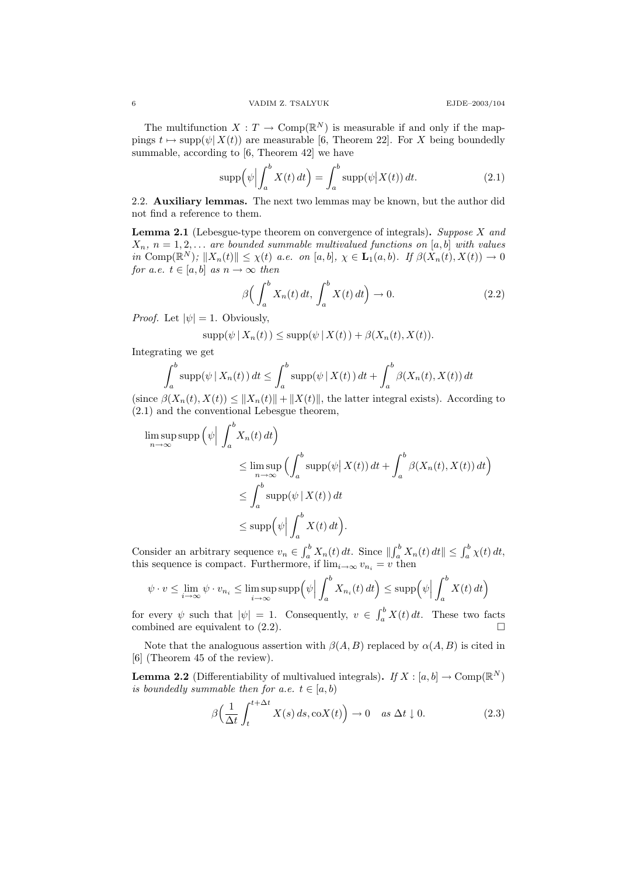The multifunction  $X: T \to \text{Comp}(\mathbb{R}^N)$  is measurable if and only if the mappings  $t \mapsto \text{supp}(\psi| X(t))$  are measurable [6, Theorem 22]. For X being boundedly summable, according to [6, Theorem 42] we have

$$
\operatorname{supp}\left(\psi\Big|\int_{a}^{b} X(t) dt\right) = \int_{a}^{b} \operatorname{supp}(\psi\big|X(t)) dt. \tag{2.1}
$$

2.2. Auxiliary lemmas. The next two lemmas may be known, but the author did not find a reference to them.

**Lemma 2.1** (Lebesgue-type theorem on convergence of integrals). Suppose  $X$  and  $X_n$ ,  $n = 1, 2, \ldots$  are bounded summable multivalued functions on [a, b] with values in Comp $(\mathbb{R}^N)$ ;  $||X_n(t)|| \leq \chi(t)$  a.e. on [a, b],  $\chi \in \mathbf{L}_1(a, b)$ . If  $\beta(\dot{X}_n(t), X(t)) \to 0$ for a.e.  $t \in [a, b]$  as  $n \to \infty$  then

$$
\beta\Big(\int_a^b X_n(t) dt, \int_a^b X(t) dt\Big) \to 0. \tag{2.2}
$$

*Proof.* Let  $|\psi| = 1$ . Obviously,

$$
supp(\psi | X_n(t)) \leq supp(\psi | X(t)) + \beta(X_n(t), X(t)).
$$

Integrating we get

$$
\int_a^b \operatorname{supp}(\psi \mid X_n(t)) dt \le \int_a^b \operatorname{supp}(\psi \mid X(t)) dt + \int_a^b \beta(X_n(t), X(t)) dt
$$

(since  $\beta(X_n(t), X(t)) \leq ||X_n(t)|| + ||X(t)||$ , the latter integral exists). According to (2.1) and the conventional Lebesgue theorem,

$$
\limsup_{n \to \infty} \operatorname{supp} \left( \psi \Big| \int_{a}^{b} X_{n}(t) dt \right)
$$
\n
$$
\leq \limsup_{n \to \infty} \left( \int_{a}^{b} \operatorname{supp}(\psi | X(t)) dt + \int_{a}^{b} \beta(X_{n}(t), X(t)) dt \right)
$$
\n
$$
\leq \int_{a}^{b} \operatorname{supp}(\psi | X(t)) dt
$$
\n
$$
\leq \operatorname{supp} \left( \psi \Big| \int_{a}^{b} X(t) dt \right).
$$

Consider an arbitrary sequence  $v_n \in \int_a^b X_n(t) dt$ . Since  $\left\| \int_a^b X_n(t) dt \right\| \leq \int_a^b \chi(t) dt$ , this sequence is compact. Furthermore, if  $\lim_{i\to\infty} v_{n_i} = v$  then

$$
\psi \cdot v \le \lim_{i \to \infty} \psi \cdot v_{n_i} \le \limsup_{i \to \infty} \sup p(\psi \mid \int_a^b X_{n_i}(t) dt) \le \sup p(\psi \mid \int_a^b X(t) dt)
$$

for every  $\psi$  such that  $|\psi| = 1$ . Consequently,  $v \in \int_a^b X(t) dt$ . These two facts combined are equivalent to  $(2.2)$ .

Note that the analoguous assertion with  $\beta(A, B)$  replaced by  $\alpha(A, B)$  is cited in [6] (Theorem 45 of the review).

**Lemma 2.2** (Differentiability of multivalued integrals). If  $X : [a, b] \to \text{Comp}(\mathbb{R}^N)$ is boundedly summable then for a.e.  $t \in [a, b)$ 

$$
\beta\Big(\frac{1}{\Delta t}\int_{t}^{t+\Delta t}X(s)\,ds,\text{co}X(t)\Big)\to 0 \quad as\ \Delta t\downarrow 0. \tag{2.3}
$$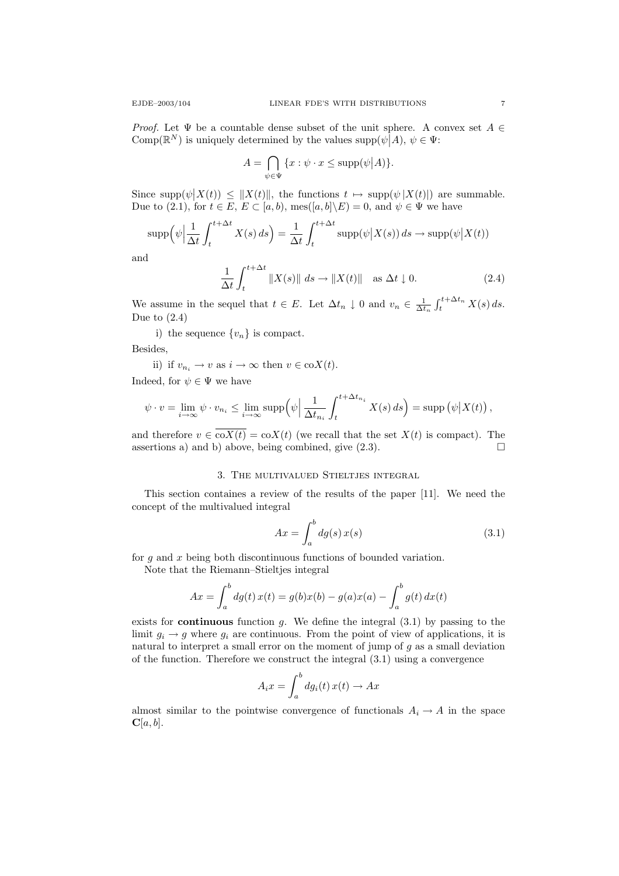*Proof.* Let  $\Psi$  be a countable dense subset of the unit sphere. A convex set  $A \in$ Comp( $\mathbb{R}^N$ ) is uniquely determined by the values  $\text{supp}(\psi | A), \psi \in \Psi$ :

$$
A = \bigcap_{\psi \in \Psi} \{x : \psi \cdot x \le \text{supp}(\psi | A)\}.
$$

Since  $\text{supp}(\psi|X(t)) \leq ||X(t)||$ , the functions  $t \mapsto \text{supp}(\psi|X(t)||)$  are summable. Due to (2.1), for  $t \in E$ ,  $E \subset [a, b)$ , mes $([a, b] \backslash E) = 0$ , and  $\psi \in \Psi$  we have

$$
\operatorname{supp}\left(\psi\Big|\frac{1}{\Delta t}\int_{t}^{t+\Delta t}X(s)\,ds\right)=\frac{1}{\Delta t}\int_{t}^{t+\Delta t}\operatorname{supp}(\psi\big|X(s))\,ds\to\operatorname{supp}(\psi\big|X(t))
$$

and

$$
\frac{1}{\Delta t} \int_{t}^{t + \Delta t} \|X(s)\| \, ds \to \|X(t)\| \quad \text{as } \Delta t \downarrow 0. \tag{2.4}
$$

We assume in the sequel that  $t \in E$ . Let  $\Delta t_n \downarrow 0$  and  $v_n \in \frac{1}{\Delta t_n} \int_t^{t + \Delta t_n} X(s) ds$ . Due to  $(2.4)$ 

i) the sequence  $\{v_n\}$  is compact.

Besides,

ii) if  $v_{n_i} \to v$  as  $i \to \infty$  then  $v \in \text{co}X(t)$ .

Indeed, for  $\psi \in \Psi$  we have

$$
\psi \cdot v = \lim_{i \to \infty} \psi \cdot v_{n_i} \le \lim_{i \to \infty} \operatorname{supp} \left( \psi \Big| \frac{1}{\Delta t_{n_i}} \int_t^{t + \Delta t_{n_i}} X(s) \, ds \right) = \operatorname{supp} \left( \psi \Big| X(t) \right),
$$

and therefore  $v \in \overline{\text{co}X(t)} = \text{co}X(t)$  (we recall that the set  $X(t)$  is compact). The assertions a) and b) above, being combined, give  $(2.3)$ .

### 3. The multivalued Stieltjes integral

This section containes a review of the results of the paper [11]. We need the concept of the multivalued integral

$$
Ax = \int_{a}^{b} dg(s) x(s)
$$
 (3.1)

for q and x being both discontinuous functions of bounded variation.

Note that the Riemann–Stieltjes integral

$$
Ax = \int_{a}^{b} dg(t) x(t) = g(b)x(b) - g(a)x(a) - \int_{a}^{b} g(t) dx(t)
$$

exists for **continuous** function  $q$ . We define the integral  $(3.1)$  by passing to the limit  $g_i \to g$  where  $g_i$  are continuous. From the point of view of applications, it is natural to interpret a small error on the moment of jump of  $g$  as a small deviation of the function. Therefore we construct the integral (3.1) using a convergence

$$
A_i x = \int_a^b dg_i(t) x(t) \to Ax
$$

almost similar to the pointwise convergence of functionals  $A_i \to A$  in the space  $\mathbf{C}[a, b]$ .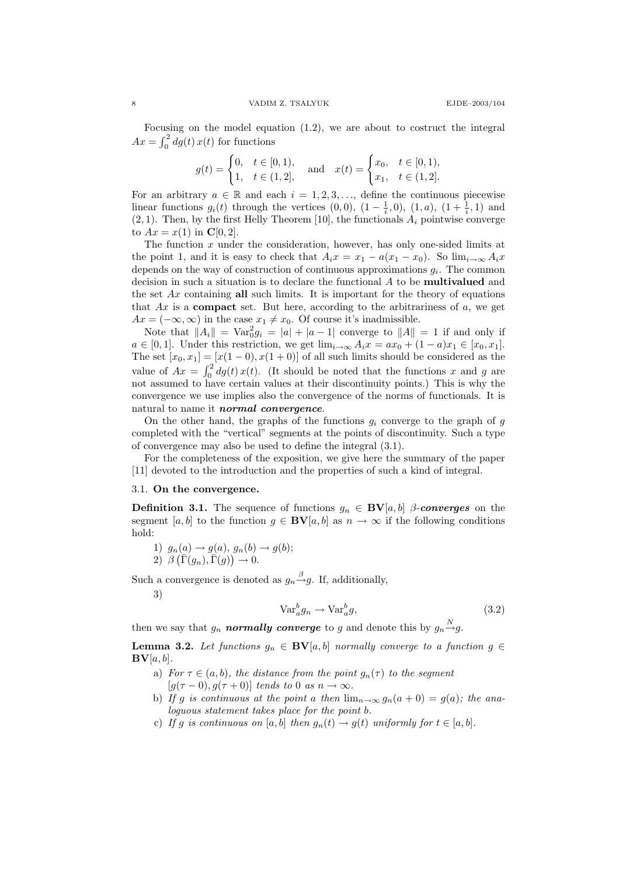Focusing on the model equation (1.2), we are about to costruct the integral  $Ax = \int_0^2 dg(t) x(t)$  for functions

$$
g(t) = \begin{cases} 0, & t \in [0, 1), \\ 1, & t \in (1, 2], \end{cases} \text{ and } x(t) = \begin{cases} x_0, & t \in [0, 1), \\ x_1, & t \in (1, 2]. \end{cases}
$$

For an arbitrary  $a \in \mathbb{R}$  and each  $i = 1, 2, 3, \ldots$ , define the continuous piecewise linear functions  $g_i(t)$  through the vertices  $(0,0)$ ,  $(1-\frac{1}{i},0)$ ,  $(1,a)$ ,  $(1+\frac{1}{i},1)$  and  $(2, 1)$ . Then, by the first Helly Theorem [10], the functionals  $A_i$  pointwise converge to  $Ax = x(1)$  in  $C[0, 2]$ .

The function  $x$  under the consideration, however, has only one-sided limits at the point 1, and it is easy to check that  $A_ix = x_1 - a(x_1 - x_0)$ . So  $\lim_{i\to\infty} A_ix$ depends on the way of construction of continuous approximations  $g_i$ . The common decision in such a situation is to declare the functional A to be multivalued and the set  $Ax$  containing all such limits. It is important for the theory of equations that  $Ax$  is a **compact** set. But here, according to the arbitrariness of  $a$ , we get  $Ax = (-\infty, \infty)$  in the case  $x_1 \neq x_0$ . Of course it's inadmissible.

Note that  $||A_i|| = Var_0^2 g_i = |a| + |a-1|$  converge to  $||A|| = 1$  if and only if  $a \in [0,1].$  Under this restriction, we get  $\lim_{i\to\infty} A_i x = ax_0 + (1-a)x_1 \in [x_0, x_1].$ The set  $[x_0, x_1] = [x(1-0), x(1+0)]$  of all such limits should be considered as the value of  $Ax = \int_0^2 dg(t) x(t)$ . (It should be noted that the functions x and g are not assumed to have certain values at their discontinuity points.) This is why the convergence we use implies also the convergence of the norms of functionals. It is natural to name it *normal convergence*.

On the other hand, the graphs of the functions  $g_i$  converge to the graph of g completed with the "vertical" segments at the points of discontinuity. Such a type of convergence may also be used to define the integral (3.1).

For the completeness of the exposition, we give here the summary of the paper [11] devoted to the introduction and the properties of such a kind of integral.

#### 3.1. On the convergence.

**Definition 3.1.** The sequence of functions  $g_n \in BV[a, b]$  β-converges on the segment [a, b] to the function  $g \in BV[a, b]$  as  $n \to \infty$  if the following conditions hold:

1)  $g_n(a) \to g(a), g_n(b) \to g(b);$ 

 $2) \left[ \beta \left( \overline{\Gamma}(g_n), \overline{\Gamma}(g) \right) \rightarrow 0. \right]$ 

Such a convergence is denoted as  $g_n \stackrel{\beta}{\rightarrow} g$ . If, additionally,

3)

$$
\text{Var}_a^b g_n \to \text{Var}_a^b g,\tag{3.2}
$$

then we say that  $g_n$  normally converge to g and denote this by  $g_n \stackrel{N}{\rightarrow} g$ .

**Lemma 3.2.** Let functions  $g_n \in BV[a, b]$  normally converge to a function  $g \in$  $\mathbf{BV}[a, b].$ 

- a) For  $\tau \in (a, b)$ , the distance from the point  $g_n(\tau)$  to the segment  $[g(\tau - 0), g(\tau + 0)]$  tends to 0 as  $n \to \infty$ .
- b) If g is continuous at the point a then  $\lim_{n\to\infty} g_n(a+0) = g(a)$ ; the analoguous statement takes place for the point b.
- c) If g is continuous on [a, b] then  $g_n(t) \to g(t)$  uniformly for  $t \in [a, b]$ .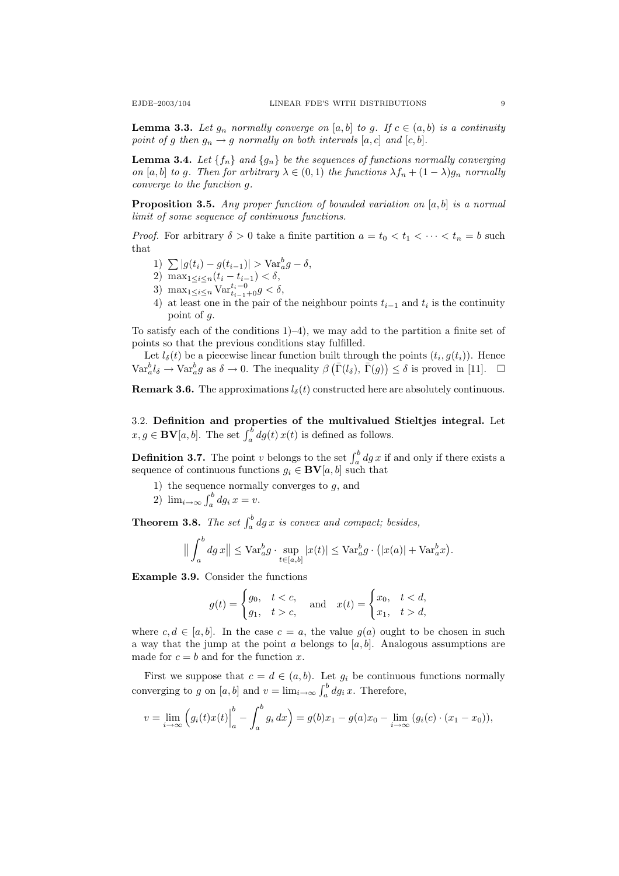**Lemma 3.3.** Let  $g_n$  normally converge on [a, b] to g. If  $c \in (a, b)$  is a continuity point of g then  $g_n \to g$  normally on both intervals  $[a, c]$  and  $[c, b]$ .

**Lemma 3.4.** Let  $\{f_n\}$  and  $\{g_n\}$  be the sequences of functions normally converging on [a, b] to g. Then for arbitrary  $\lambda \in (0,1)$  the functions  $\lambda f_n + (1-\lambda)g_n$  normally converge to the function g.

**Proposition 3.5.** Any proper function of bounded variation on [a, b] is a normal limit of some sequence of continuous functions.

*Proof.* For arbitrary  $\delta > 0$  take a finite partition  $a = t_0 < t_1 < \cdots < t_n = b$  such that

- 1)  $\sum |g(t_i) g(t_{i-1})| > \text{Var}_a^b g \delta,$
- 2) max<sub>1≤i≤n</sub> $(t_i t_{i-1}) < \delta$ ,
- 3) max<sub>1≤i≤n</sub> Var $t_{i-1}^{t_i-0}$  <  $\delta$ ,
- 4) at least one in the pair of the neighbour points  $t_{i-1}$  and  $t_i$  is the continuity point of g.

To satisfy each of the conditions  $1$ –4), we may add to the partition a finite set of points so that the previous conditions stay fulfilled.

Let  $l_{\delta}(t)$  be a piecewise linear function built through the points  $(t_i, g(t_i))$ . Hence  $\text{Var}_{a}^{b}l_{\delta} \to \text{Var}_{a}^{b}g$  as  $\delta \to 0$ . The inequality  $\beta\left(\bar{\Gamma}(l_{\delta}), \bar{\Gamma}(g)\right) \leq \delta$  is proved in [11].  $\Box$ 

**Remark 3.6.** The approximations  $l_{\delta}(t)$  constructed here are absolutely continuous.

3.2. Definition and properties of the multivalued Stieltjes integral. Let  $x, g \in BV[a, b]$ . The set  $\int_a^b dg(t) x(t)$  is defined as follows.

**Definition 3.7.** The point v belongs to the set  $\int_a^b dg x$  if and only if there exists a sequence of continuous functions  $g_i \in BV[a, b]$  such that

- 1) the sequence normally converges to  $g$ , and
- 2)  $\lim_{i\to\infty} \int_a^b dg_i x = v.$

**Theorem 3.8.** The set  $\int_a^b dg x$  is convex and compact; besides,

$$
\left\| \int_a^b dg \, x \right\| \leq \mathrm{Var}_a^b g \cdot \sup_{t \in [a,b]} |x(t)| \leq \mathrm{Var}_a^b g \cdot (|x(a)| + \mathrm{Var}_a^b x).
$$

Example 3.9. Consider the functions

$$
g(t) = \begin{cases} g_0, & t < c, \\ g_1, & t > c, \end{cases} \text{ and } x(t) = \begin{cases} x_0, & t < d, \\ x_1, & t > d, \end{cases}
$$

where  $c, d \in [a, b]$ . In the case  $c = a$ , the value  $g(a)$  ought to be chosen in such a way that the jump at the point a belongs to  $[a, b]$ . Analogous assumptions are made for  $c = b$  and for the function x.

First we suppose that  $c = d \in (a, b)$ . Let  $g_i$  be continuous functions normally converging to g on  $[a, b]$  and  $v = \lim_{i \to \infty} \int_a^b dg_i x$ . Therefore,

$$
v = \lim_{i \to \infty} \left( g_i(t)x(t) \Big|_a^b - \int_a^b g_i \, dx \right) = g(b)x_1 - g(a)x_0 - \lim_{i \to \infty} \left( g_i(c) \cdot (x_1 - x_0) \right),
$$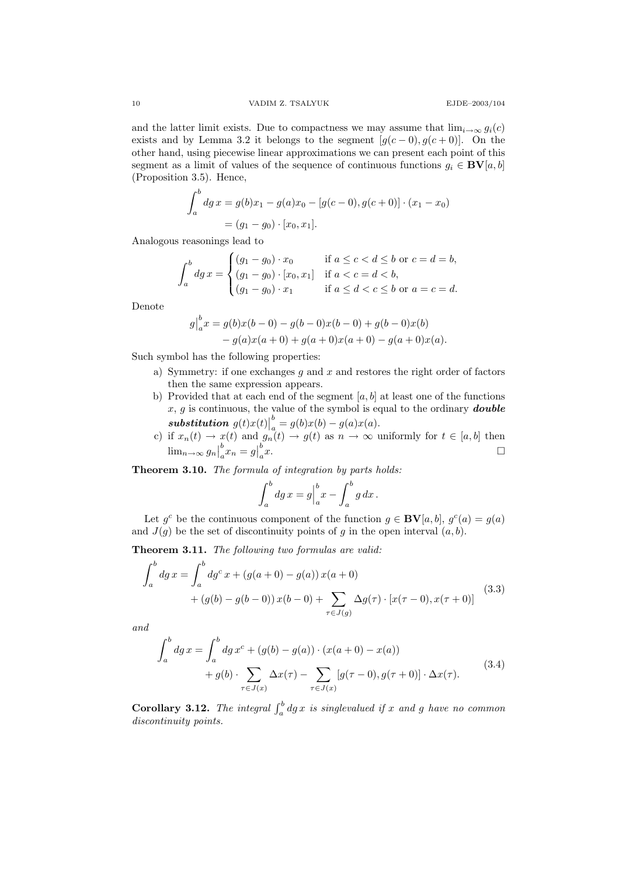and the latter limit exists. Due to compactness we may assume that  $\lim_{i\to\infty} g_i(c)$ exists and by Lemma 3.2 it belongs to the segment  $[g(c-0), g(c+0)]$ . On the other hand, using piecewise linear approximations we can present each point of this segment as a limit of values of the sequence of continuous functions  $g_i \in BV[a, b]$ (Proposition 3.5). Hence,

$$
\int_{a}^{b} dg \, x = g(b)x_1 - g(a)x_0 - [g(c - 0), g(c + 0)] \cdot (x_1 - x_0)
$$

$$
= (g_1 - g_0) \cdot [x_0, x_1].
$$

Analogous reasonings lead to

$$
\int_{a}^{b} dg \, x = \begin{cases}\n(g_1 - g_0) \cdot x_0 & \text{if } a \leq c < d \leq b \text{ or } c = d = b, \\
(g_1 - g_0) \cdot [x_0, x_1] & \text{if } a < c = d < b, \\
(g_1 - g_0) \cdot x_1 & \text{if } a \leq d < c \leq b \text{ or } a = c = d.\n\end{cases}
$$

Denote

$$
g\Big|_a^b x = g(b)x(b-0) - g(b-0)x(b-0) + g(b-0)x(b)
$$
  
-  $g(a)x(a+0) + g(a+0)x(a+0) - g(a+0)x(a)$ .

Such symbol has the following properties:

- a) Symmetry: if one exchanges  $g$  and  $x$  and restores the right order of factors then the same expression appears.
- b) Provided that at each end of the segment  $[a, b]$  at least one of the functions  $x, g$  is continuous, the value of the symbol is equal to the ordinary **double** substitution  $g(t)x(t)$ b  $a = g(b)x(b) - g(a)x(a).$
- c) if  $x_n(t) \to x(t)$  and  $g_n(t) \to g(t)$  as  $n \to \infty$  uniformly for  $t \in [a, b]$  then  $\lim_{n\to\infty} g_n$ b  $\int_a^b x_n = g$ b  $a^b$ .

Theorem 3.10. The formula of integration by parts holds:

$$
\int_a^b dg \, x = g \Big|_a^b x - \int_a^b g \, dx \, .
$$

Let  $g^c$  be the continuous component of the function  $g \in BV[a, b], g^c(a) = g(a)$ and  $J(g)$  be the set of discontinuity points of g in the open interval  $(a, b)$ .

Theorem 3.11. The following two formulas are valid:

$$
\int_{a}^{b} dg \, x = \int_{a}^{b} dg^{c} \, x + (g(a+0) - g(a)) \, x(a+0) \n+ (g(b) - g(b-0)) \, x(b-0) + \sum_{\tau \in J(g)} \Delta g(\tau) \cdot [x(\tau - 0), x(\tau + 0)]
$$
\n(3.3)

and

$$
\int_{a}^{b} dg \, x = \int_{a}^{b} dg \, x^{c} + (g(b) - g(a)) \cdot (x(a + 0) - x(a)) \n+ g(b) \cdot \sum_{\tau \in J(x)} \Delta x(\tau) - \sum_{\tau \in J(x)} [g(\tau - 0), g(\tau + 0)] \cdot \Delta x(\tau).
$$
\n(3.4)

**Corollary 3.12.** The integral  $\int_a^b dg x$  is singlevalued if x and g have no common discontinuity points.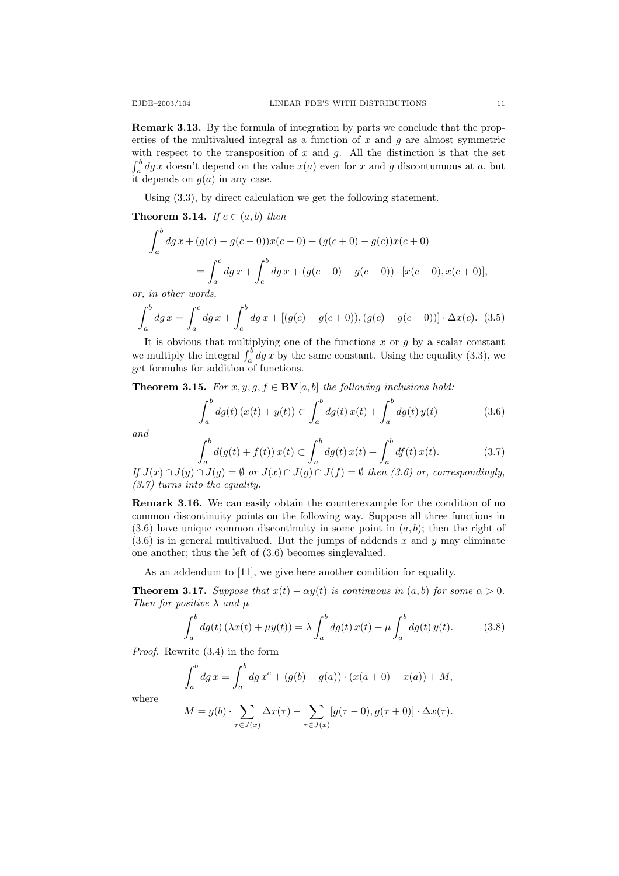Remark 3.13. By the formula of integration by parts we conclude that the properties of the multivalued integral as a function of  $x$  and  $g$  are almost symmetric with respect to the transposition of  $x$  and  $g$ . All the distinction is that the set  $\int_a^b dg x$  doesn't depend on the value  $x(a)$  even for x and g discontunuous at a, but it depends on  $g(a)$  in any case.

Using (3.3), by direct calculation we get the following statement.

**Theorem 3.14.** If  $c \in (a, b)$  then

$$
\int_{a}^{b} dg \, x + (g(c) - g(c - 0))x(c - 0) + (g(c + 0) - g(c))x(c + 0)
$$
\n
$$
= \int_{a}^{c} dg \, x + \int_{c}^{b} dg \, x + (g(c + 0) - g(c - 0)) \cdot [x(c - 0), x(c + 0)],
$$
\nin other words

or, in other words,

$$
\int_{a}^{b} dg \, x = \int_{a}^{c} dg \, x + \int_{c}^{b} dg \, x + [(g(c) - g(c+0)), (g(c) - g(c-0))] \cdot \Delta x(c). \tag{3.5}
$$

It is obvious that multiplying one of the functions  $x$  or  $g$  by a scalar constant we multiply the integral  $\int_a^b dg x$  by the same constant. Using the equality (3.3), we get formulas for addition of functions.

**Theorem 3.15.** For  $x, y, g, f \in BV[a, b]$  the following inclusions hold:

$$
\int_{a}^{b} dg(t) (x(t) + y(t)) \subset \int_{a}^{b} dg(t) x(t) + \int_{a}^{b} dg(t) y(t)
$$
 (3.6)

and

$$
\int_{a}^{b} d(g(t) + f(t)) x(t) \subset \int_{a}^{b} dg(t) x(t) + \int_{a}^{b} df(t) x(t).
$$
 (3.7)

If  $J(x) \cap J(y) \cap J(g) = \emptyset$  or  $J(x) \cap J(g) \cap J(f) = \emptyset$  then (3.6) or, correspondingly, (3.7) turns into the equality.

Remark 3.16. We can easily obtain the counterexample for the condition of no common discontinuity points on the following way. Suppose all three functions in  $(3.6)$  have unique common discontinuity in some point in  $(a, b)$ ; then the right of  $(3.6)$  is in general multivalued. But the jumps of addends x and y may eliminate one another; thus the left of (3.6) becomes singlevalued.

As an addendum to [11], we give here another condition for equality.

**Theorem 3.17.** Suppose that  $x(t) - \alpha y(t)$  is continuous in  $(a, b)$  for some  $\alpha > 0$ . Then for positive  $\lambda$  and  $\mu$ 

$$
\int_{a}^{b} dg(t) \left(\lambda x(t) + \mu y(t)\right) = \lambda \int_{a}^{b} dg(t) x(t) + \mu \int_{a}^{b} dg(t) y(t).
$$
 (3.8)

Proof. Rewrite (3.4) in the form

$$
\int_{a}^{b} dg \, x = \int_{a}^{b} dg \, x^{c} + (g(b) - g(a)) \cdot (x(a+0) - x(a)) + M,
$$

where

$$
M = g(b) \cdot \sum_{\tau \in J(x)} \Delta x(\tau) - \sum_{\tau \in J(x)} [g(\tau - 0), g(\tau + 0)] \cdot \Delta x(\tau).
$$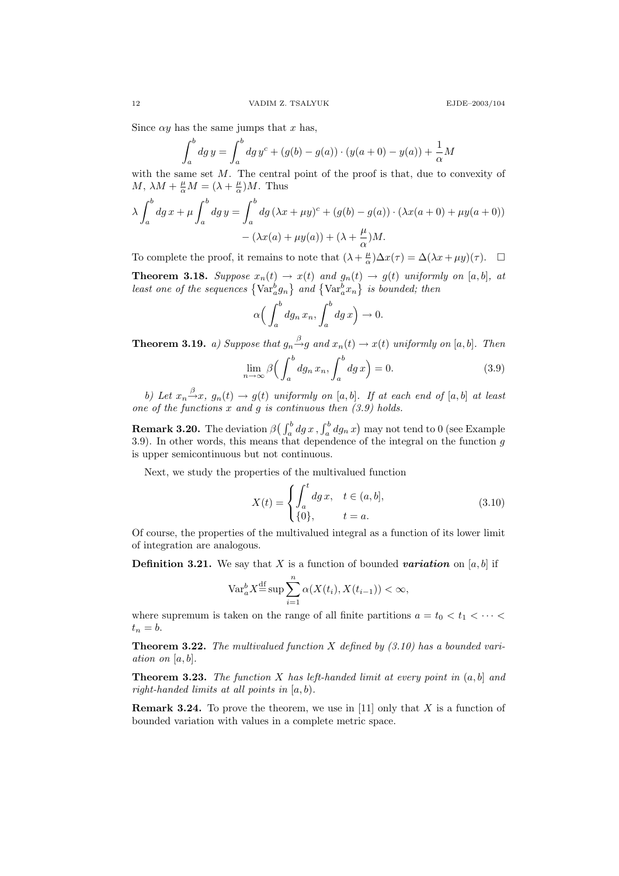Since  $\alpha y$  has the same jumps that x has,

$$
\int_{a}^{b} dg y = \int_{a}^{b} dg y^{c} + (g(b) - g(a)) \cdot (y(a+0) - y(a)) + \frac{1}{\alpha} M
$$

with the same set  $M$ . The central point of the proof is that, due to convexity of M,  $\lambda M + \frac{\mu}{\alpha} M = (\lambda + \frac{\mu}{\alpha})M$ . Thus

$$
\lambda \int_a^b dg \, x + \mu \int_a^b dg \, y = \int_a^b dg \, (\lambda x + \mu y)^c + (g(b) - g(a)) \cdot (\lambda x(a+0) + \mu y(a+0))
$$

$$
- (\lambda x(a) + \mu y(a)) + (\lambda + \frac{\mu}{\alpha})M.
$$

To complete the proof, it remains to note that  $(\lambda + \frac{\mu}{\alpha})\Delta x(\tau) = \Delta(\lambda x + \mu y)(\tau)$ .  $\Box$ **Theorem 3.18.** Suppose  $x_n(t) \to x(t)$  and  $g_n(t) \to g(t)$  uniformly on [a, b], at least one of the sequences  $\{\text{Var}_{a}^{b}g_{n}\}\$  and  $\{\text{Var}_{a}^{b}x_{n}\}\$  is bounded; then

$$
\alpha \Big(\int_a^b dg_n x_n, \int_a^b dg x\Big) \to 0.
$$

**Theorem 3.19.** a) Suppose that  $g_n \stackrel{\beta}{\rightarrow} g$  and  $x_n(t) \rightarrow x(t)$  uniformly on [a, b]. Then

$$
\lim_{n \to \infty} \beta \left( \int_{a}^{b} dg_n x_n, \int_{a}^{b} dg x \right) = 0. \tag{3.9}
$$

b) Let  $x_n \stackrel{\beta}{\rightarrow} x$ ,  $g_n(t) \rightarrow g(t)$  uniformly on [a, b]. If at each end of [a, b] at least one of the functions  $x$  and  $g$  is continuous then  $(3.9)$  holds.

**Remark 3.20.** The deviation  $\beta\left(\int_a^b dg x, \int_a^b dg_n x\right)$  may not tend to 0 (see Example 3.9). In other words, this means that dependence of the integral on the function  $g$ is upper semicontinuous but not continuous.

Next, we study the properties of the multivalued function

$$
X(t) = \begin{cases} \int_{a}^{t} dg x, & t \in (a, b], \\ \{0\}, & t = a. \end{cases}
$$
 (3.10)

Of course, the properties of the multivalued integral as a function of its lower limit of integration are analogous.

**Definition 3.21.** We say that X is a function of bounded variation on [a, b] if

$$
\text{Var}_{a}^{b} X \stackrel{\text{df}}{=} \sup \sum_{i=1}^{n} \alpha(X(t_i), X(t_{i-1})) < \infty,
$$

where supremum is taken on the range of all finite partitions  $a = t_0 < t_1 < \cdots <$  $t_n = b$ .

**Theorem 3.22.** The multivalued function X defined by  $(3.10)$  has a bounded variation on  $[a, b]$ .

**Theorem 3.23.** The function X has left-handed limit at every point in  $(a, b]$  and right-handed limits at all points in  $[a, b)$ .

**Remark 3.24.** To prove the theorem, we use in [11] only that X is a function of bounded variation with values in a complete metric space.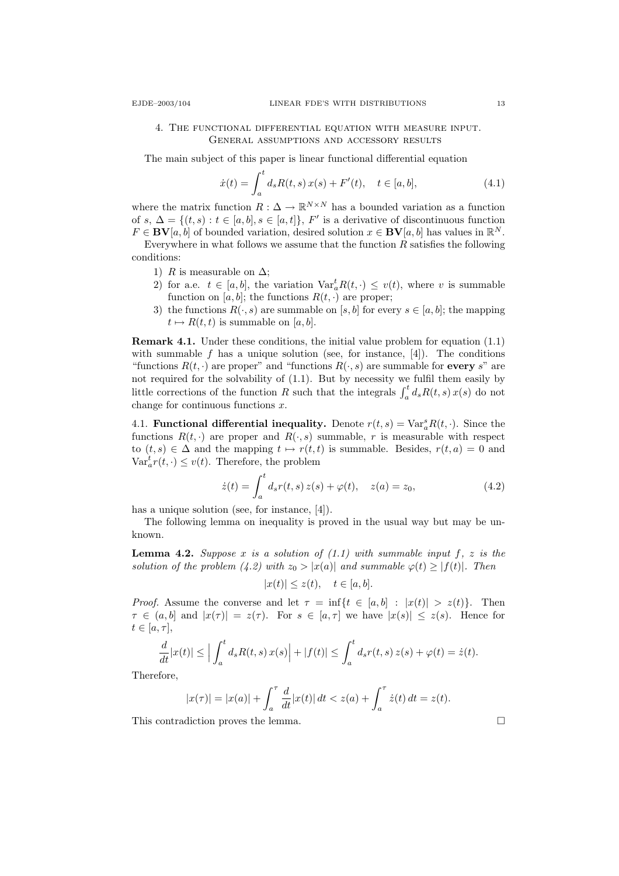# 4. The functional differential equation with measure input. General assumptions and accessory results

The main subject of this paper is linear functional differential equation

$$
\dot{x}(t) = \int_{a}^{t} d_{s} R(t, s) x(s) + F'(t), \quad t \in [a, b], \tag{4.1}
$$

where the matrix function  $R: \Delta \to \mathbb{R}^{N \times N}$  has a bounded variation as a function of s,  $\Delta = \{(t, s) : t \in [a, b], s \in [a, t]\}, F'$  is a derivative of discontinuous function  $F \in BV[a, b]$  of bounded variation, desired solution  $x \in BV[a, b]$  has values in  $\mathbb{R}^N$ .

Everywhere in what follows we assume that the function  $R$  satisfies the following conditions:

- 1) R is measurable on  $\Delta$ ;
- 2) for a.e.  $t \in [a, b]$ , the variation  $\text{Var}_a^t R(t, \cdot) \leq v(t)$ , where v is summable function on [a, b]; the functions  $R(t, \cdot)$  are proper;
- 3) the functions  $R(\cdot, s)$  are summable on [s, b] for every  $s \in [a, b]$ ; the mapping  $t \mapsto R(t, t)$  is summable on [a, b].

Remark 4.1. Under these conditions, the initial value problem for equation (1.1) with summable f has a unique solution (see, for instance,  $[4]$ ). The conditions "functions  $R(t, \cdot)$  are proper" and "functions  $R(\cdot, s)$  are summable for every s" are not required for the solvability of (1.1). But by necessity we fulfil them easily by little corrections of the function R such that the integrals  $\int_a^t d_s R(t, s) x(s)$  do not change for continuous functions  $x$ .

4.1. **Functional differential inequality.** Denote  $r(t,s) = \text{Var}_a^s R(t, \cdot)$ . Since the functions  $R(t, \cdot)$  are proper and  $R(\cdot, s)$  summable, r is measurable with respect to  $(t, s) \in \Delta$  and the mapping  $t \mapsto r(t, t)$  is summable. Besides,  $r(t, a) = 0$  and  $\text{Var}_a^t r(t, \cdot) \leq v(t)$ . Therefore, the problem

$$
\dot{z}(t) = \int_{a}^{t} d_{s}r(t, s) z(s) + \varphi(t), \quad z(a) = z_{0}, \tag{4.2}
$$

has a unique solution (see, for instance, [4]).

The following lemma on inequality is proved in the usual way but may be unknown.

**Lemma 4.2.** Suppose x is a solution of  $(1.1)$  with summable input f, z is the solution of the problem (4.2) with  $z_0 > |x(a)|$  and summable  $\varphi(t) \geq |f(t)|$ . Then

$$
|x(t)| \le z(t), \quad t \in [a, b].
$$

*Proof.* Assume the converse and let  $\tau = \inf\{t \in [a, b] : |x(t)| > z(t)\}.$  Then  $\tau \in (a, b]$  and  $|x(\tau)| = z(\tau)$ . For  $s \in [a, \tau]$  we have  $|x(s)| \leq z(s)$ . Hence for  $t\in [a,\tau],$ 

$$
\frac{d}{dt}|x(t)| \le \Big| \int_a^t d_s R(t,s) x(s) \Big| + |f(t)| \le \int_a^t d_s r(t,s) z(s) + \varphi(t) = \dot{z}(t).
$$

Therefore,

$$
|x(\tau)| = |x(a)| + \int_a^{\tau} \frac{d}{dt} |x(t)| dt < z(a) + \int_a^{\tau} \dot{z}(t) dt = z(t).
$$

This contradiction proves the lemma.  $\Box$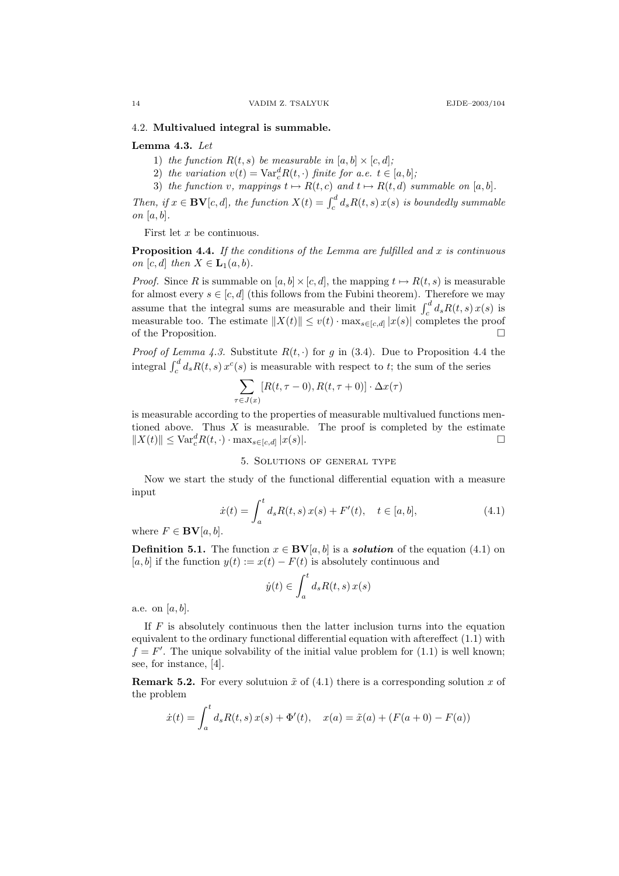### 4.2. Multivalued integral is summable.

# Lemma 4.3. Let

- 1) the function  $R(t, s)$  be measurable in  $[a, b] \times [c, d]$ ;
- 2) the variation  $v(t) = \text{Var}_c^d R(t, \cdot)$  finite for a.e.  $t \in [a, b]$ ;
- 3) the function v, mappings  $t \mapsto R(t, c)$  and  $t \mapsto R(t, d)$  summable on [a, b].

Then, if  $x \in BV[c, d]$ , the function  $X(t) = \int_c^d d_s R(t, s) x(s)$  is boundedly summable on  $[a, b]$ .

First let  $x$  be continuous.

**Proposition 4.4.** If the conditions of the Lemma are fulfilled and x is continuous on  $[c, d]$  then  $X \in L_1(a, b)$ .

*Proof.* Since R is summable on  $[a, b] \times [c, d]$ , the mapping  $t \mapsto R(t, s)$  is measurable for almost every  $s \in [c, d]$  (this follows from the Fubini theorem). Therefore we may assume that the integral sums are measurable and their limit  $\int_c^d ds R(t, s) x(s)$  is measurable too. The estimate  $||X(t)|| \leq v(t) \cdot \max_{s \in [c,d]} |x(s)|$  completes the proof of the Proposition.  $\Box$ 

*Proof of Lemma 4.3.* Substitute  $R(t, \cdot)$  for g in (3.4). Due to Proposition 4.4 the integral  $\int_c^d d_s R(t, s) x^c(s)$  is measurable with respect to t; the sum of the series

$$
\sum_{\tau \in J(x)} [R(t, \tau - 0), R(t, \tau + 0)] \cdot \Delta x(\tau)
$$

is measurable according to the properties of measurable multivalued functions mentioned above. Thus  $X$  is measurable. The proof is completed by the estimate  $||X(t)|| \leq \text{Var}_{c}^{d} R(t, \cdot) \cdot \max_{s \in [c,d]} |x(s)|.$ 

# 5. Solutions of general type

Now we start the study of the functional differential equation with a measure input

$$
\dot{x}(t) = \int_{a}^{t} d_{s}R(t, s) x(s) + F'(t), \quad t \in [a, b],
$$
\n(4.1)

where  $F \in BV[a, b]$ .

**Definition 5.1.** The function  $x \in BV[a, b]$  is a **solution** of the equation (4.1) on [a, b] if the function  $y(t) := x(t) - F(t)$  is absolutely continuous and

$$
\dot{y}(t) \in \int_{a}^{t} d_{s} R(t, s) x(s)
$$

a.e. on  $[a, b]$ .

If  $F$  is absolutely continuous then the latter inclusion turns into the equation equivalent to the ordinary functional differential equation with aftereffect (1.1) with  $f = F'$ . The unique solvability of the initial value problem for (1.1) is well known; see, for instance, [4].

**Remark 5.2.** For every solutuion  $\tilde{x}$  of (4.1) there is a corresponding solution x of the problem

$$
\dot{x}(t) = \int_{a}^{t} d_{s}R(t, s) x(s) + \Phi'(t), \quad x(a) = \tilde{x}(a) + (F(a + 0) - F(a))
$$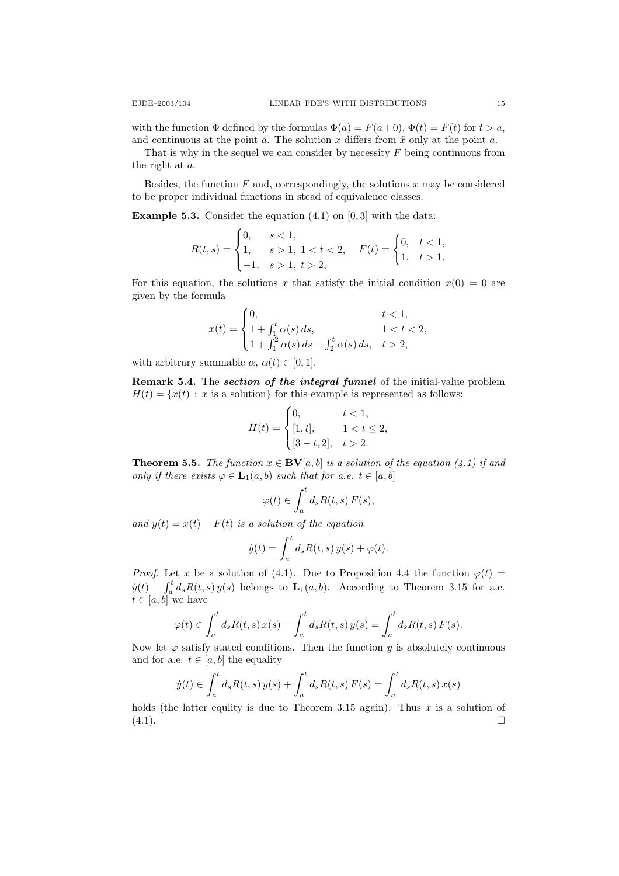with the function  $\Phi$  defined by the formulas  $\Phi(a) = F(a+0), \Phi(t) = F(t)$  for  $t > a$ , and continuous at the point a. The solution x differs from  $\tilde{x}$  only at the point a.

That is why in the sequel we can consider by necessity  $F$  being continuous from the right at a.

Besides, the function  $F$  and, correspondingly, the solutions  $x$  may be considered to be proper individual functions in stead of equivalence classes.

**Example 5.3.** Consider the equation  $(4.1)$  on  $[0, 3]$  with the data:

$$
R(t,s) = \begin{cases} 0, & s < 1, \\ 1, & s > 1, \ 1 < t < 2, \\ -1, & s > 1, \ t > 2, \end{cases} \quad F(t) = \begin{cases} 0, & t < 1, \\ 1, & t > 1. \end{cases}
$$

For this equation, the solutions x that satisfy the initial condition  $x(0) = 0$  are given by the formula

$$
x(t) = \begin{cases} 0, & t < 1, \\ 1 + \int_1^t \alpha(s) \, ds, & 1 < t < 2, \\ 1 + \int_1^2 \alpha(s) \, ds - \int_2^t \alpha(s) \, ds, & t > 2, \end{cases}
$$

with arbitrary summable  $\alpha$ ,  $\alpha(t) \in [0, 1]$ .

Remark 5.4. The section of the integral funnel of the initial-value problem  $H(t) = \{x(t) : x \text{ is a solution}\}\$ for this example is represented as follows:

$$
H(t) = \begin{cases} 0, & t < 1, \\ [1, t], & 1 < t \le 2, \\ [3 - t, 2], & t > 2. \end{cases}
$$

**Theorem 5.5.** The function  $x \in BV[a, b]$  is a solution of the equation (4.1) if and only if there exists  $\varphi \in L_1(a, b)$  such that for a.e.  $t \in [a, b]$ 

$$
\varphi(t) \in \int_a^t d_s R(t,s) F(s),
$$

and  $y(t) = x(t) - F(t)$  is a solution of the equation

$$
\dot{y}(t) = \int_a^t d_s R(t, s) y(s) + \varphi(t).
$$

*Proof.* Let x be a solution of (4.1). Due to Proposition 4.4 the function  $\varphi(t)$  =  $\dot{y}(t) - \int_a^t d_s R(t, s) y(s)$  belongs to  $\mathbf{L}_1(a, b)$ . According to Theorem 3.15 for a.e.  $t \in [a, b]$  we have

$$
\varphi(t) \in \int_a^t d_s R(t,s) x(s) - \int_a^t d_s R(t,s) y(s) = \int_a^t d_s R(t,s) F(s).
$$

Now let  $\varphi$  satisfy stated conditions. Then the function y is absolutely continuous and for a.e.  $t \in [a, b]$  the equality

$$
\dot{y}(t) \in \int_a^t d_s R(t,s) y(s) + \int_a^t d_s R(t,s) F(s) = \int_a^t d_s R(t,s) x(s)
$$

holds (the latter equlity is due to Theorem 3.15 again). Thus  $x$  is a solution of  $(4.1).$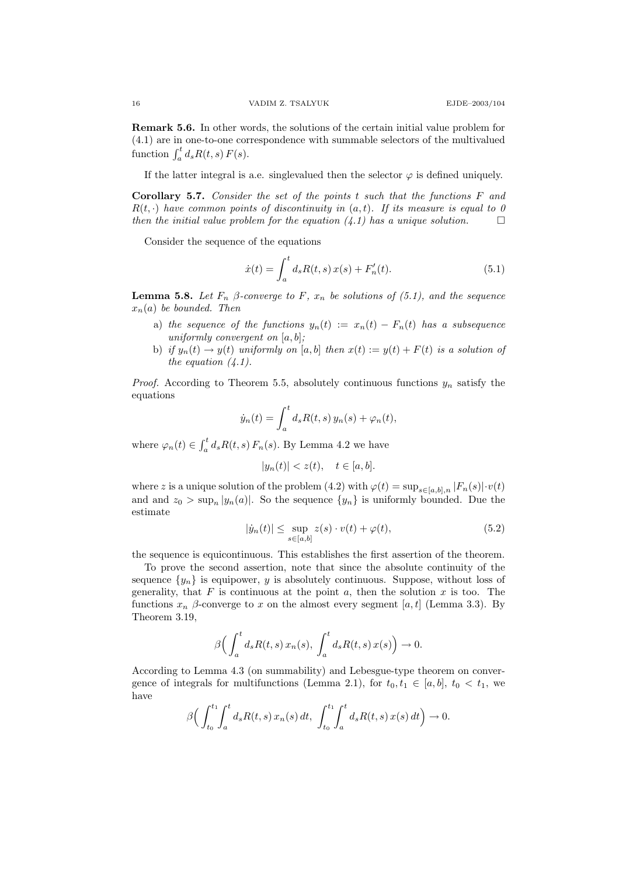Remark 5.6. In other words, the solutions of the certain initial value problem for (4.1) are in one-to-one correspondence with summable selectors of the multivalued function  $\int_a^t d_s R(t, s) F(s)$ .

If the latter integral is a.e. singlevalued then the selector  $\varphi$  is defined uniquely.

**Corollary 5.7.** Consider the set of the points t such that the functions  $F$  and  $R(t, \cdot)$  have common points of discontinuity in  $(a, t)$ . If its measure is equal to 0 then the initial value problem for the equation  $(4.1)$  has a unique solution.

Consider the sequence of the equations

$$
\dot{x}(t) = \int_{a}^{t} d_{s}R(t, s) x(s) + F'_{n}(t).
$$
\n(5.1)

**Lemma 5.8.** Let  $F_n$   $\beta$ -converge to  $F$ ,  $x_n$  be solutions of (5.1), and the sequence  $x_n(a)$  be bounded. Then

- a) the sequence of the functions  $y_n(t) := x_n(t) F_n(t)$  has a subsequence uniformly convergent on  $[a, b]$ ;
- b) if  $y_n(t) \to y(t)$  uniformly on  $[a, b]$  then  $x(t) := y(t) + F(t)$  is a solution of the equation  $(4.1)$ .

*Proof.* According to Theorem 5.5, absolutely continuous functions  $y_n$  satisfy the equations

$$
\dot{y}_n(t) = \int_a^t d_s R(t,s) y_n(s) + \varphi_n(t),
$$

where  $\varphi_n(t) \in \int_a^t d_s R(t, s) F_n(s)$ . By Lemma 4.2 we have

$$
|y_n(t)| < z(t), \quad t \in [a, b].
$$

where z is a unique solution of the problem (4.2) with  $\varphi(t) = \sup_{s \in [a,b],n} |F_n(s)| \cdot v(t)$ and and  $z_0 > \sup_n |y_n(a)|$ . So the sequence  $\{y_n\}$  is uniformly bounded. Due the estimate

$$
|\dot{y}_n(t)| \le \sup_{s \in [a,b]} z(s) \cdot v(t) + \varphi(t), \tag{5.2}
$$

the sequence is equicontinuous. This establishes the first assertion of the theorem.

To prove the second assertion, note that since the absolute continuity of the sequence  $\{y_n\}$  is equipower, y is absolutely continuous. Suppose, without loss of generality, that  $F$  is continuous at the point  $a$ , then the solution  $x$  is too. The functions  $x_n$  β-converge to x on the almost every segment [a, t] (Lemma 3.3). By Theorem 3.19,

$$
\beta\Big(\int_a^t d_s R(t,s)\,x_n(s),\,\int_a^t d_s R(t,s)\,x(s)\Big)\to 0.
$$

According to Lemma 4.3 (on summability) and Lebesgue-type theorem on convergence of integrals for multifunctions (Lemma 2.1), for  $t_0, t_1 \in [a, b], t_0 < t_1$ , we have

$$
\beta \Big( \int_{t_0}^{t_1} \int_a^t d_s R(t,s) \, x_n(s) \, dt, \, \int_{t_0}^{t_1} \int_a^t d_s R(t,s) \, x(s) \, dt \Big) \to 0.
$$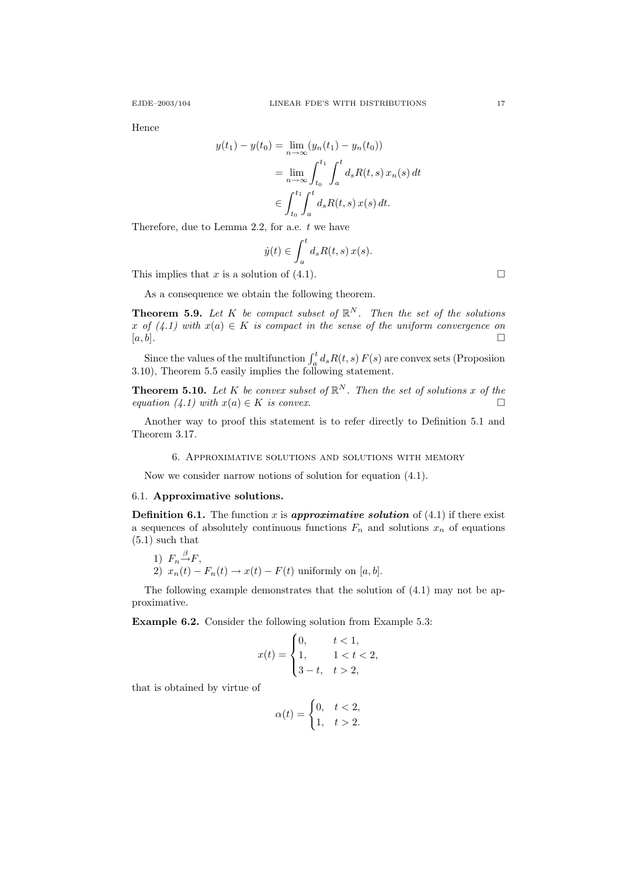Hence

$$
y(t_1) - y(t_0) = \lim_{n \to \infty} (y_n(t_1) - y_n(t_0))
$$
  
= 
$$
\lim_{n \to \infty} \int_{t_0}^{t_1} \int_a^t d_s R(t, s) x_n(s) dt
$$
  

$$
\in \int_{t_0}^{t_1} \int_a^t d_s R(t, s) x(s) dt.
$$

Therefore, due to Lemma 2.2, for a.e.  $t$  we have

$$
\dot{y}(t) \in \int_{a}^{t} d_{s}R(t, s) x(s).
$$

This implies that x is a solution of (4.1).

As a consequence we obtain the following theorem.

**Theorem 5.9.** Let K be compact subset of  $\mathbb{R}^N$ . Then the set of the solutions x of  $(4.1)$  with  $x(a) \in K$  is compact in the sense of the uniform convergence on  $[a, b]$ .

Since the values of the multifunction  $\int_a^t d_s R(t, s) F(s)$  are convex sets (Proposiion 3.10), Theorem 5.5 easily implies the following statement.

**Theorem 5.10.** Let K be convex subset of  $\mathbb{R}^N$ . Then the set of solutions x of the equation (4.1) with  $x(a) \in K$  is convex.

Another way to proof this statement is to refer directly to Definition 5.1 and Theorem 3.17.

#### 6. Approximative solutions and solutions with memory

Now we consider narrow notions of solution for equation (4.1).

### 6.1. Approximative solutions.

**Definition 6.1.** The function x is **approximative solution** of  $(4.1)$  if there exist a sequences of absolutely continuous functions  $F_n$  and solutions  $x_n$  of equations (5.1) such that

1) 
$$
F_n \xrightarrow{\beta} F
$$
,  
2)  $x_n(t) - F_n(t) \rightarrow x(t) - F(t)$  uniformly on [a, b].

The following example demonstrates that the solution of (4.1) may not be approximative.

Example 6.2. Consider the following solution from Example 5.3:

$$
x(t) = \begin{cases} 0, & t < 1, \\ 1, & 1 < t < 2, \\ 3 - t, & t > 2, \end{cases}
$$

that is obtained by virtue of

$$
\alpha(t) = \begin{cases} 0, & t < 2, \\ 1, & t > 2. \end{cases}
$$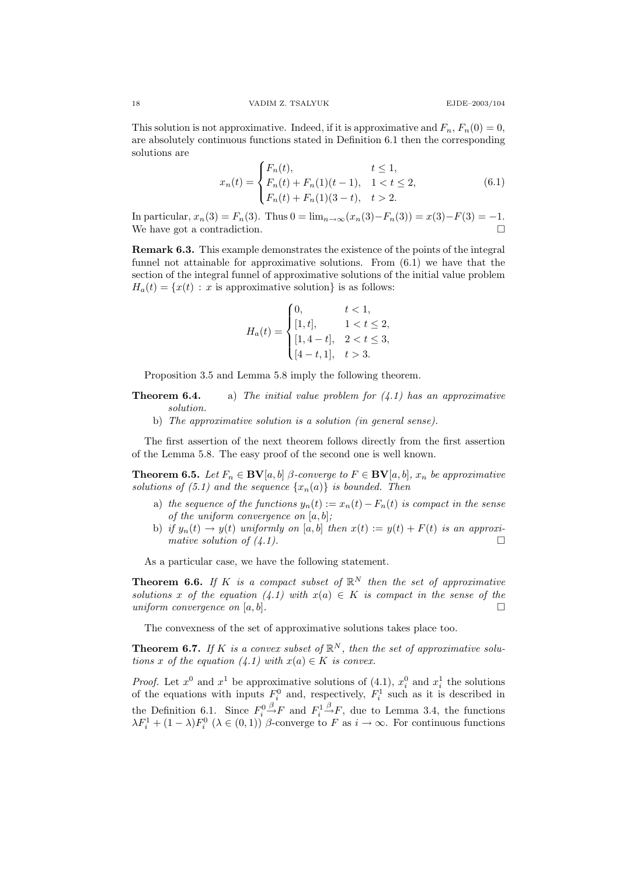This solution is not approximative. Indeed, if it is approximative and  $F_n$ ,  $F_n(0) = 0$ , are absolutely continuous functions stated in Definition 6.1 then the corresponding solutions are

$$
x_n(t) = \begin{cases} F_n(t), & t \le 1, \\ F_n(t) + F_n(1)(t-1), & 1 < t \le 2, \\ F_n(t) + F_n(1)(3-t), & t > 2. \end{cases}
$$
(6.1)

In particular,  $x_n(3) = F_n(3)$ . Thus  $0 = \lim_{n \to \infty} (x_n(3) - F_n(3)) = x(3) - F(3) = -1$ . We have got a contradiction.

Remark 6.3. This example demonstrates the existence of the points of the integral funnel not attainable for approximative solutions. From (6.1) we have that the section of the integral funnel of approximative solutions of the initial value problem  $H_a(t) = \{x(t) : x \text{ is approximate solution}\}\$ is as follows:

$$
H_a(t) = \begin{cases} 0, & t < 1, \\ [1, t], & 1 < t \le 2, \\ [1, 4-t], & 2 < t \le 3, \\ [4-t, 1], & t > 3. \end{cases}
$$

Proposition 3.5 and Lemma 5.8 imply the following theorem.

- **Theorem 6.4.** a) The initial value problem for  $(4.1)$  has an approximative solution.
	- b) The approximative solution is a solution (in general sense).

The first assertion of the next theorem follows directly from the first assertion of the Lemma 5.8. The easy proof of the second one is well known.

**Theorem 6.5.** Let  $F_n \in BV[a, b]$   $\beta$ -converge to  $F \in BV[a, b]$ ,  $x_n$  be approximative solutions of (5.1) and the sequence  $\{x_n(a)\}\$ is bounded. Then

- a) the sequence of the functions  $y_n(t) := x_n(t) F_n(t)$  is compact in the sense of the uniform convergence on  $[a, b]$ ;
- b) if  $y_n(t) \to y(t)$  uniformly on [a, b] then  $x(t) := y(t) + F(t)$  is an approximative solution of  $(4.1)$ .

As a particular case, we have the following statement.

**Theorem 6.6.** If K is a compact subset of  $\mathbb{R}^N$  then the set of approximative solutions x of the equation (4.1) with  $x(a) \in K$  is compact in the sense of the uniform convergence on  $[a, b]$ .

The convexness of the set of approximative solutions takes place too.

**Theorem 6.7.** If K is a convex subset of  $\mathbb{R}^N$ , then the set of approximative solutions x of the equation  $(4.1)$  with  $x(a) \in K$  is convex.

*Proof.* Let  $x^0$  and  $x^1$  be approximative solutions of (4.1),  $x_i^0$  and  $x_i^1$  the solutions of the equations with inputs  $F_i^0$  and, respectively,  $F_i^1$  such as it is described in the Definition 6.1. Since  $F_i^0 \xrightarrow{\beta} F$  and  $F_i^1 \xrightarrow{\beta} F$ , due to Lemma 3.4, the functions  $\lambda F_i^1 + (1 - \lambda) F_i^0$  ( $\lambda \in (0, 1)$ )  $\beta$ -converge to F as  $i \to \infty$ . For continuous functions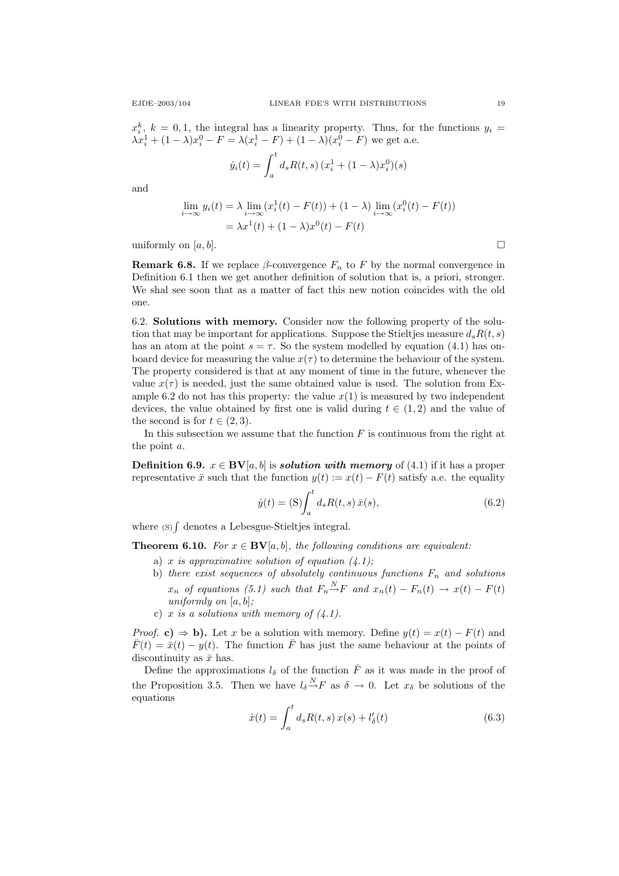$x_i^k$ ,  $k = 0, 1$ , the integral has a linearity property. Thus, for the functions  $y_i =$  $\lambda x_i^1 + (1 - \lambda)x_i^0 - F = \lambda (x_i^1 - F) + (1 - \lambda)(x_i^0 - F)$  we get a.e.

$$
\dot{y}_i(t) = \int_a^t d_s R(t, s) (x_i^1 + (1 - \lambda)x_i^0)(s)
$$

and

$$
\lim_{i \to \infty} y_i(t) = \lambda \lim_{i \to \infty} (x_i^1(t) - F(t)) + (1 - \lambda) \lim_{i \to \infty} (x_i^0(t) - F(t))
$$

$$
= \lambda x^1(t) + (1 - \lambda)x^0(t) - F(t)
$$

uniformly on  $[a, b]$ .

**Remark 6.8.** If we replace  $\beta$ -convergence  $F_n$  to F by the normal convergence in Definition 6.1 then we get another definition of solution that is, a priori, stronger. We shal see soon that as a matter of fact this new notion coincides with the old one.

6.2. Solutions with memory. Consider now the following property of the solution that may be important for applications. Suppose the Stieltjes measure  $d_s R(t, s)$ has an atom at the point  $s = \tau$ . So the system modelled by equation (4.1) has onboard device for measuring the value  $x(\tau)$  to determine the behaviour of the system. The property considered is that at any moment of time in the future, whenever the value  $x(\tau)$  is needed, just the same obtained value is used. The solution from Example 6.2 do not has this property: the value  $x(1)$  is measured by two independent devices, the value obtained by first one is valid during  $t \in (1, 2)$  and the value of the second is for  $t \in (2, 3)$ .

In this subsection we assume that the function  $F$  is continuous from the right at the point a.

**Definition 6.9.**  $x \in BV[a, b]$  is **solution with memory** of (4.1) if it has a proper representative  $\bar{x}$  such that the function  $y(t) := x(t) - F(t)$  satisfy a.e. the equality

$$
\dot{y}(t) = \text{(S)} \int_{a}^{t} d_{s} R(t, s) \, \bar{x}(s), \tag{6.2}
$$

where  $(s)$  denotes a Lebesgue-Stieltjes integral.

**Theorem 6.10.** For  $x \in BV[a, b]$ , the following conditions are equivalent:

- a) x is approximative solution of equation  $(4.1)$ ;
- b) there exist sequences of absolutely continuous functions  $F_n$  and solutions  $x_n$  of equations (5.1) such that  $F_n {\stackrel{N}{\to}} F$  and  $x_n(t) - F_n(t) \to x(t) - F(t)$ uniformly on  $[a, b]$ ;
- c) x is a solutions with memory of  $(4.1)$ .

*Proof.* c)  $\Rightarrow$  b). Let x be a solution with memory. Define  $y(t) = x(t) - F(t)$  and  $\bar{F}(t) = \bar{x}(t) - y(t)$ . The function  $\bar{F}$  has just the same behaviour at the points of discontinuity as  $\bar{x}$  has.

Define the approximations  $l_{\delta}$  of the function  $\bar{F}$  as it was made in the proof of the Proposition 3.5. Then we have  $l_{\delta} \stackrel{N}{\rightarrow} F$  as  $\delta \to 0$ . Let  $x_{\delta}$  be solutions of the equations

$$
\dot{x}(t) = \int_{a}^{t} d_{s} R(t, s) x(s) + l'_{\delta}(t)
$$
\n(6.3)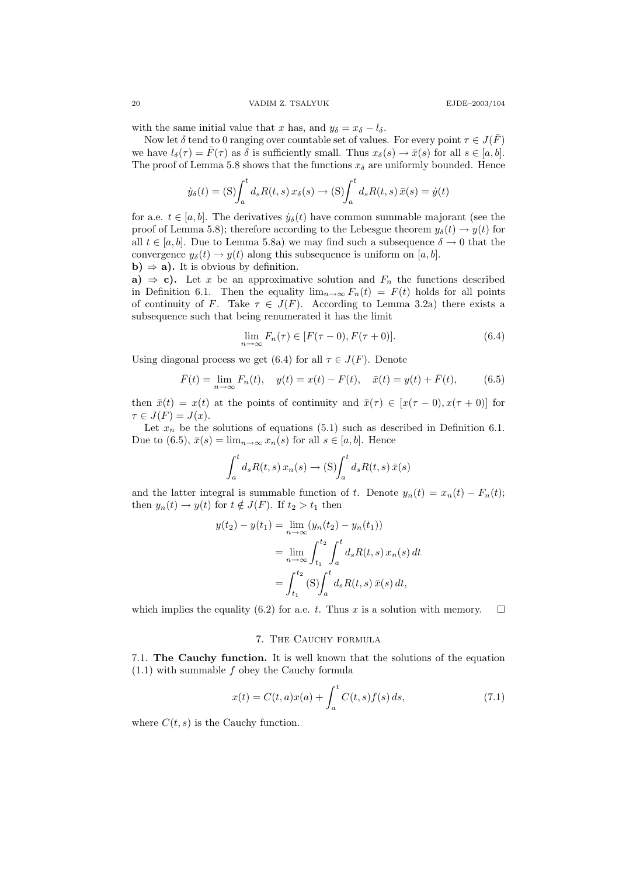with the same initial value that x has, and  $y_{\delta} = x_{\delta} - l_{\delta}$ .

Now let  $\delta$  tend to 0 ranging over countable set of values. For every point  $\tau \in J(\overline{F})$ we have  $l_{\delta}(\tau) = \bar{F}(\tau)$  as  $\delta$  is sufficiently small. Thus  $x_{\delta}(s) \to \bar{x}(s)$  for all  $s \in [a, b]$ . The proof of Lemma 5.8 shows that the functions  $x_{\delta}$  are uniformly bounded. Hence

$$
\dot{y}_{\delta}(t) = \text{(S)} \int_{a}^{t} d_{s}R(t, s) x_{\delta}(s) \rightarrow \text{(S)} \int_{a}^{t} d_{s}R(t, s) \, \bar{x}(s) = \dot{y}(t)
$$

for a.e.  $t \in [a, b]$ . The derivatives  $\dot{y}_\delta(t)$  have common summable majorant (see the proof of Lemma 5.8); therefore according to the Lebesgue theorem  $y_{\delta}(t) \rightarrow y(t)$  for all  $t \in [a, b]$ . Due to Lemma 5.8a) we may find such a subsequence  $\delta \to 0$  that the convergence  $y_\delta(t) \to y(t)$  along this subsequence is uniform on [a, b]. b)  $\Rightarrow$  a). It is obvious by definition.

a)  $\Rightarrow$  c). Let x be an approximative solution and  $F_n$  the functions described in Definition 6.1. Then the equality  $\lim_{n\to\infty} F_n(t) = F(t)$  holds for all points of continuity of F. Take  $\tau \in J(F)$ . According to Lemma 3.2a) there exists a subsequence such that being renumerated it has the limit

$$
\lim_{n \to \infty} F_n(\tau) \in [F(\tau - 0), F(\tau + 0)]. \tag{6.4}
$$

Using diagonal process we get (6.4) for all  $\tau \in J(F)$ . Denote

$$
\bar{F}(t) = \lim_{n \to \infty} F_n(t), \quad y(t) = x(t) - F(t), \quad \bar{x}(t) = y(t) + \bar{F}(t), \tag{6.5}
$$

then  $\bar{x}(t) = x(t)$  at the points of continuity and  $\bar{x}(\tau) \in [x(\tau - 0), x(\tau + 0)]$  for  $\tau \in J(F) = J(x)$ .

Let  $x_n$  be the solutions of equations (5.1) such as described in Definition 6.1. Due to (6.5),  $\bar{x}(s) = \lim_{n \to \infty} x_n(s)$  for all  $s \in [a, b]$ . Hence

$$
\int_a^t d_s R(t,s) x_n(s) \to (S) \int_a^t d_s R(t,s) \, \bar{x}(s)
$$

and the latter integral is summable function of t. Denote  $y_n(t) = x_n(t) - F_n(t)$ ; then  $y_n(t) \to y(t)$  for  $t \notin J(F)$ . If  $t_2 > t_1$  then

$$
y(t_2) - y(t_1) = \lim_{n \to \infty} (y_n(t_2) - y_n(t_1))
$$
  
= 
$$
\lim_{n \to \infty} \int_{t_1}^{t_2} \int_a^t d_s R(t, s) x_n(s) dt
$$
  
= 
$$
\int_{t_1}^{t_2} (S) \int_a^t d_s R(t, s) \bar{x}(s) dt,
$$

which implies the equality (6.2) for a.e. t. Thus x is a solution with memory.  $\square$ 

### 7. The Cauchy formula

7.1. The Cauchy function. It is well known that the solutions of the equation  $(1.1)$  with summable f obey the Cauchy formula

$$
x(t) = C(t, a)x(a) + \int_{a}^{t} C(t, s)f(s) ds,
$$
\n(7.1)

where  $C(t, s)$  is the Cauchy function.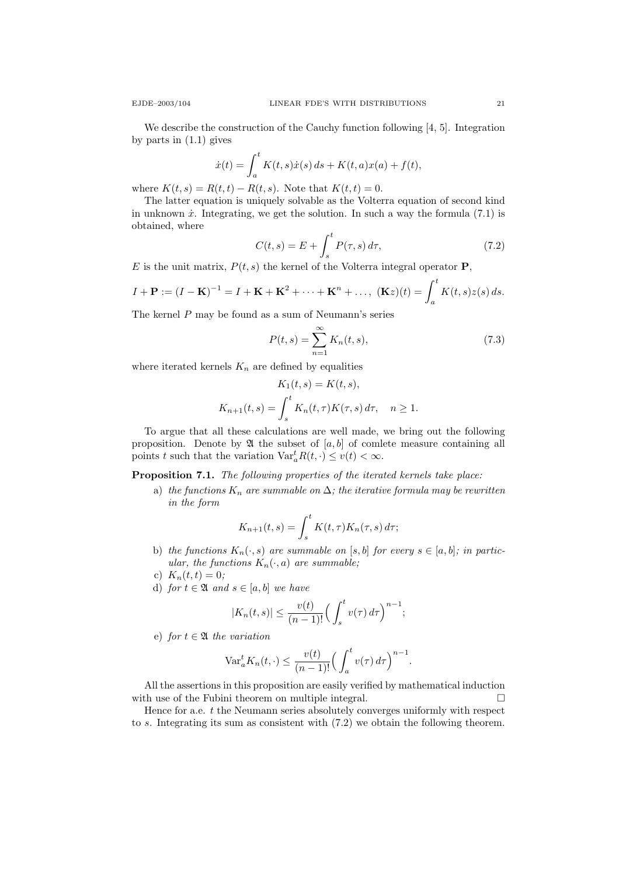We describe the construction of the Cauchy function following [4, 5]. Integration by parts in (1.1) gives

$$
\dot{x}(t) = \int_{a}^{t} K(t, s)\dot{x}(s) \, ds + K(t, a)x(a) + f(t),
$$

where  $K(t, s) = R(t, t) - R(t, s)$ . Note that  $K(t, t) = 0$ .

The latter equation is uniquely solvable as the Volterra equation of second kind in unknown  $\dot{x}$ . Integrating, we get the solution. In such a way the formula (7.1) is obtained, where

$$
C(t,s) = E + \int_{s}^{t} P(\tau,s) d\tau,
$$
\n(7.2)

E is the unit matrix,  $P(t, s)$  the kernel of the Volterra integral operator **P**,

$$
I + \mathbf{P} := (I - \mathbf{K})^{-1} = I + \mathbf{K} + \mathbf{K}^{2} + \dots + \mathbf{K}^{n} + \dots, \ (\mathbf{K}z)(t) = \int_{a}^{t} K(t, s)z(s) ds.
$$

The kernel P may be found as a sum of Neumann's series

$$
P(t,s) = \sum_{n=1}^{\infty} K_n(t,s),
$$
 (7.3)

where iterated kernels  $K_n$  are defined by equalities

$$
K_1(t,s) = K(t,s),
$$
  

$$
K_{n+1}(t,s) = \int_s^t K_n(t,\tau)K(\tau,s) d\tau, \quad n \ge 1.
$$

To argue that all these calculations are well made, we bring out the following proposition. Denote by  $\mathfrak{A}$  the subset of [a, b] of comlete measure containing all points t such that the variation  $\text{Var}_a^t R(t, \cdot) \le v(t) < \infty$ .

Proposition 7.1. The following properties of the iterated kernels take place:

a) the functions  $K_n$  are summable on  $\Delta$ ; the iterative formula may be rewritten in the form

$$
K_{n+1}(t,s) = \int_s^t K(t,\tau)K_n(\tau,s) d\tau;
$$

- b) the functions  $K_n(\cdot, s)$  are summable on [s, b] for every  $s \in [a, b]$ ; in particular, the functions  $K_n(\cdot, a)$  are summable;
- c)  $K_n(t,t) = 0;$
- d) for  $t \in \mathfrak{A}$  and  $s \in [a, b]$  we have

$$
|K_n(t,s)| \le \frac{v(t)}{(n-1)!} \Big(\int_s^t v(\tau) d\tau\Big)^{n-1};
$$

e) for  $t \in \mathfrak{A}$  the variation

$$
\text{Var}_{a}^{t} K_{n}(t,\cdot) \leq \frac{v(t)}{(n-1)!} \Big(\int_{a}^{t} v(\tau) d\tau\Big)^{n-1}.
$$

All the assertions in this proposition are easily verified by mathematical induction with use of the Fubini theorem on multiple integral.  $\Box$ 

Hence for a.e.  $t$  the Neumann series absolutely converges uniformly with respect to s. Integrating its sum as consistent with (7.2) we obtain the following theorem.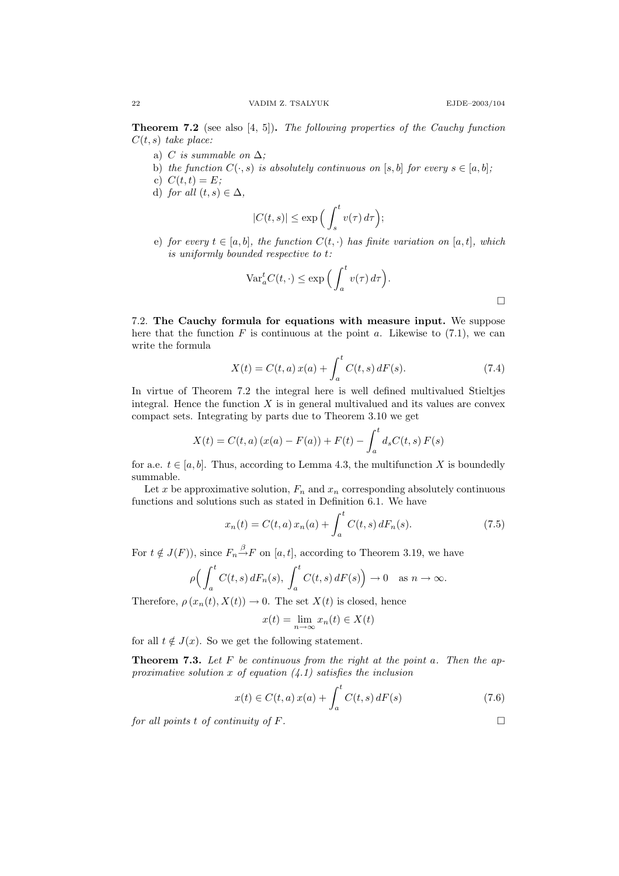$\Box$ 

**Theorem 7.2** (see also [4, 5]). The following properties of the Cauchy function  $C(t, s)$  take place:

- a) C is summable on  $\Delta$ ;
- b) the function  $C(\cdot, s)$  is absolutely continuous on [s, b] for every  $s \in [a, b]$ ;
- c)  $C(t, t) = E$ :
- d) for all  $(t, s) \in \Delta$ ,

$$
|C(t,s)| \le \exp\Big(\int_s^t v(\tau)\,d\tau\Big);
$$

e) for every  $t \in [a, b]$ , the function  $C(t, \cdot)$  has finite variation on [a,t], which is uniformly bounded respective to t:

$$
\text{Var}_a^t C(t, \cdot) \le \exp\left(\int_a^t v(\tau) d\tau\right).
$$

7.2. The Cauchy formula for equations with measure input. We suppose here that the function  $F$  is continuous at the point  $a$ . Likewise to (7.1), we can write the formula

$$
X(t) = C(t, a) x(a) + \int_{a}^{t} C(t, s) dF(s).
$$
 (7.4)

In virtue of Theorem 7.2 the integral here is well defined multivalued Stieltjes integral. Hence the function  $X$  is in general multivalued and its values are convex compact sets. Integrating by parts due to Theorem 3.10 we get

$$
X(t) = C(t, a) (x(a) - F(a)) + F(t) - \int_{a}^{t} d_{s} C(t, s) F(s)
$$

for a.e.  $t \in [a, b]$ . Thus, according to Lemma 4.3, the multifunction X is boundedly summable.

Let x be approximative solution,  $F_n$  and  $x_n$  corresponding absolutely continuous functions and solutions such as stated in Definition 6.1. We have

$$
x_n(t) = C(t, a) x_n(a) + \int_a^t C(t, s) dF_n(s).
$$
 (7.5)

For  $t \notin J(F)$ ), since  $F_n \stackrel{\beta}{\rightarrow} F$  on [a, t], according to Theorem 3.19, we have

$$
\rho\Big(\int_a^t C(t,s)\,dF_n(s),\,\int_a^t C(t,s)\,dF(s)\Big)\to 0\quad\text{as }n\to\infty.
$$

Therefore,  $\rho(x_n(t), X(t)) \to 0$ . The set  $X(t)$  is closed, hence

$$
x(t) = \lim_{n \to \infty} x_n(t) \in X(t)
$$

for all  $t \notin J(x)$ . So we get the following statement.

**Theorem 7.3.** Let  $F$  be continuous from the right at the point a. Then the approximative solution x of equation  $(4.1)$  satisfies the inclusion

$$
x(t) \in C(t, a) x(a) + \int_{a}^{t} C(t, s) dF(s)
$$
\n(7.6)

for all points t of continuity of  $F$ .